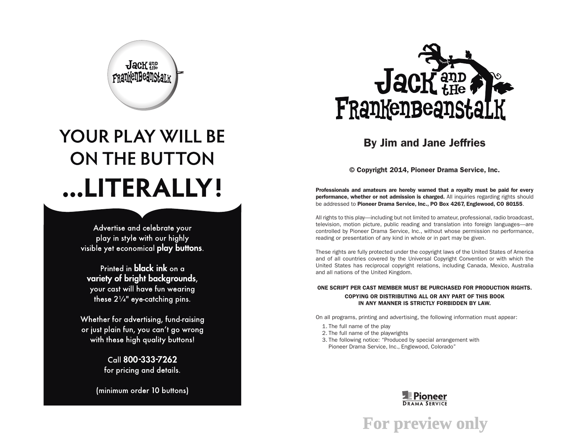

### By Jim and Jane Jeffries

© Copyright 2014, Pioneer Drama Service, Inc.

Professionals and amateurs are hereby warned that a royalty must be paid for every performance, whether or not admission is charged. All inquiries regarding rights should be addressed to Pioneer Drama Service, Inc., PO Box 4267, Englewood, CO 80155.

All rights to this play—including but not limited to amateur, professional, radio broadcast, television, motion picture, public reading and translation into foreign languages—are controlled by Pioneer Drama Service, Inc., without whose permission no performance, reading or presentation of any kind in whole or in part may be given.

These rights are fully protected under the copyright laws of the United States of America and of all countries covered by the Universal Copyright Convention or with which the United States has reciprocal copyright relations, including Canada, Mexico, Australia and all nations of the United Kingdom.

#### ONE SCRIPT PER CAST MEMBER MUST BE PURCHASED FOR PRODUCTION RIGHTS. COPYING OR DISTRIBUTING ALL OR ANY PART OF THIS BOOK IN ANY MANNER IS STRICTLY FORBIDDEN BY LAW.

On all programs, printing and advertising, the following information must appear:

- 1. The full name of the play
- 2. The full name of the playwrights
- 3. The following notice: "Produced by special arrangement with Pioneer Drama Service, Inc., Englewood, Colorado"

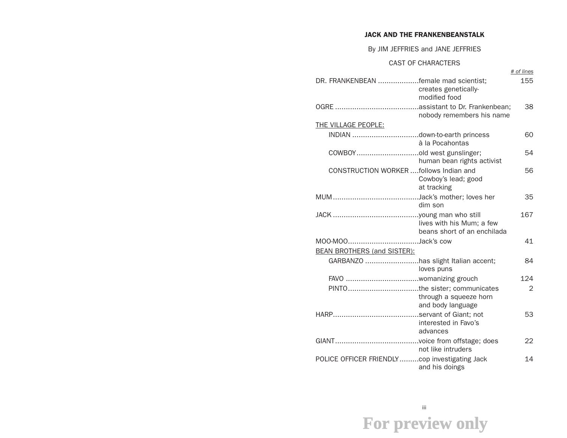#### JACK AND THE FRANKENBEANSTALK

#### By JIM JEFFRIES and JANE JEFFRIES

#### CAST OF CHARACTERS

|                                               |                                                          | # of lines |
|-----------------------------------------------|----------------------------------------------------------|------------|
| DR. FRANKENBEAN female mad scientist;         | creates genetically-                                     | 155        |
|                                               | modified food                                            |            |
|                                               |                                                          | 38         |
|                                               | nobody remembers his name                                |            |
| THE VILLAGE PEOPLE:                           |                                                          |            |
|                                               | à la Pocahontas                                          | 60         |
| COWBOYold west gunslinger;                    | human bean rights activist                               | 54         |
| CONSTRUCTION WORKER follows Indian and        | Cowboy's lead; good<br>at tracking                       | 56         |
|                                               | dim son                                                  | 35         |
|                                               | lives with his Mum; a few<br>beans short of an enchilada | 167        |
|                                               |                                                          | 41         |
| <b>BEAN BROTHERS (and SISTER):</b>            |                                                          |            |
| GARBANZO has slight Italian accent;           | loves puns                                               | 84         |
|                                               |                                                          | 124        |
|                                               | through a squeeze horn<br>and body language              | 2          |
|                                               | interested in Favo's<br>advances                         | 53         |
|                                               | not like intruders                                       | 22         |
| POLICE OFFICER FRIENDLYcop investigating Jack | and his doings                                           | 14         |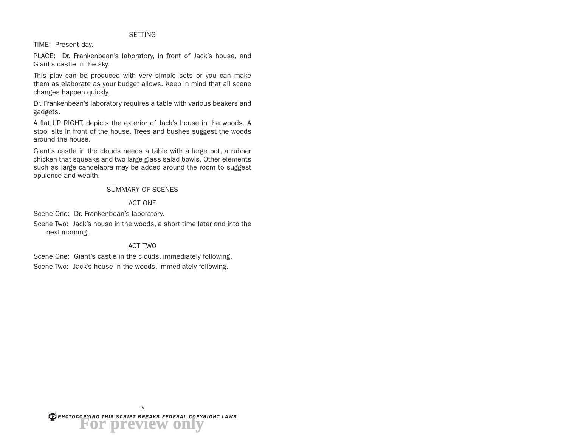#### **SFTTING**

TIME: Present day.

PLACE: Dr. Frankenbean's laboratory, in front of Jack's house, and Giant's castle in the sky.

This play can be produced with very simple sets or you can make them as elaborate as your budget allows. Keep in mind that all scene changes happen quickly.

Dr. Frankenbean's laboratory requires a table with various beakers and gadgets.

A flat UP RIGHT, depicts the exterior of Jack's house in the woods. A stool sits in front of the house. Trees and bushes suggest the woods around the house.

Giant's castle in the clouds needs a table with a large pot, a rubber chicken that squeaks and two large glass salad bowls. Other elements such as large candelabra may be added around the room to suggest opulence and wealth.

#### SUMMARY OF SCENES

#### ACT ONE

Scene One: Dr. Frankenbean's laboratory.

Scene Two: Jack's house in the woods, a short time later and into the next morning.

#### ACT TWO

Scene One: Giant's castle in the clouds, immediately following.

Scene Two: Jack's house in the woods, immediately following.

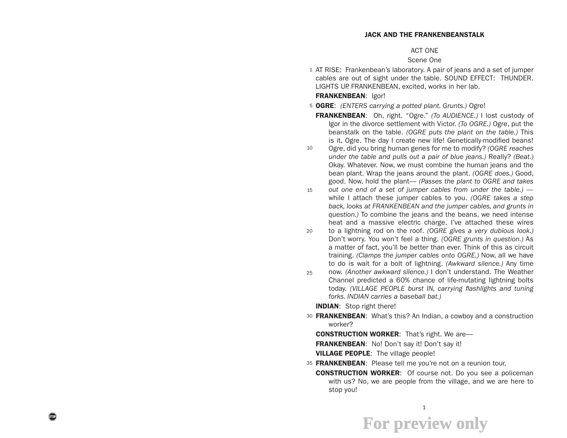#### JACK AND THE FRANKENBEANSTALK

#### ACT ONE

#### Scene One

1 AT RISE: Frankenbean's laboratory. A pair of jeans and a set of jumper cables are out of sight under the table. SOUND EFFECT: THUNDER. LIGHTS UP. FRANKENBEAN, excited, works in her lab.

#### FRANKENBEAN: Igor!

5 OGRE: *(ENTERS carrying a potted plant. Grunts.)* Ogre!

FRANKENBEAN: Oh, right. "Ogre." *(To AUDIENCE.)* I lost custody of Igor in the divorce settlement with Victor. *(To OGRE.)* Ogre, put the beanstalk on the table. *(OGRE puts the plant on the table.)* This is it, Ogre. The day I create new life! Genetically-modified beans!

- 10 Ogre, did you bring human genes for me to modify? *(OGRE reaches under the table and pulls out a pair of blue jeans.)* Really? *(Beat.)*  Okay. Whatever. Now, we must combine the human jeans and the bean plant. Wrap the jeans around the plant. *(OGRE does.)* Good, good. Now, hold the plant— *(Passes the plant to OGRE and takes*
- 15 *out one end of a set of jumper cables from under the table.)*  while I attach these jumper cables to you. *(OGRE takes a step back, looks at FRANKENBEAN and the jumper cables, and grunts in question.)* To combine the jeans and the beans, we need intense heat and a massive electric charge. I've attached these wires
- 20 to a lightning rod on the roof. *(OGRE gives a very dubious look.)*  Don't worry. You won't feel a thing. *(OGRE grunts in question.)* As a matter of fact, you'll be better than ever. Think of this as circuit training. *(Clamps the jumper cables onto OGRE.)* Now, all we have to do is wait for a bolt of lightning. *(Awkward silence.)* Any time
- 25 now. *(Another awkward silence.)* I don't understand. The Weather Channel predicted a 60% chance of life-mutating lightning bolts today. *(VILLAGE PEOPLE burst IN, carrying flashlights and tuning forks. INDIAN carries a baseball bat.)*

**INDIAN:** Stop right there!

30 **FRANKENBEAN:** What's this? An Indian, a cowboy and a construction worker?

**CONSTRUCTION WORKER:** That's right. We are-

FRANKENBEAN: No! Don't say it! Don't say it!

**VILLAGE PEOPLE:** The village people!

- 35 FRANKENBEAN: Please tell me you're not on a reunion tour.
	- CONSTRUCTION WORKER: Of course not. Do you see a policeman with us? No, we are people from the village, and we are here to stop you!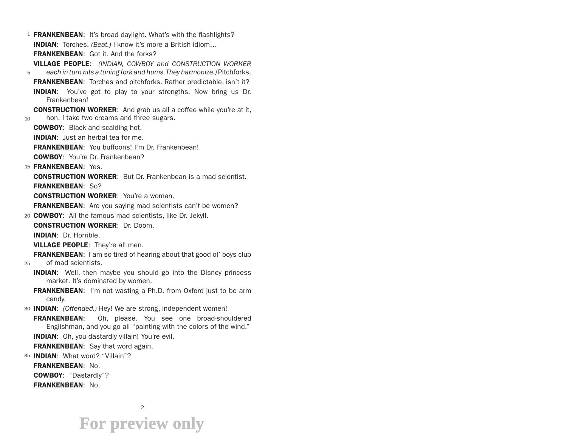- 1 FRANKENBEAN: It's broad daylight. What's with the flashlights? INDIAN: Torches. *(Beat.)* I know it's more a British idiom… FRANKENBEAN: Got it. And the forks? VILLAGE PEOPLE: *(INDIAN, COWBOY and CONSTRUCTION WORKER*
- 5 *each in turn hits a tuning fork and hums. They harmonize.)* Pitchforks. FRANKENBEAN: Torches and pitchforks. Rather predictable, isn't it? **INDIAN:** You've got to play to your strengths. Now bring us Dr. Frankenbean!
- 10 **CONSTRUCTION WORKER:** And grab us all a coffee while you're at it, hon. I take two creams and three sugars.
	- COWBOY: Black and scalding hot.
	- INDIAN: Just an herbal tea for me.
	- FRANKENBEAN: You buffoons! I'm Dr. Frankenbean!
	- COWBOY: You're Dr. Frankenbean?
- 15 **FRANKENBEAN:** Yes.
	- CONSTRUCTION WORKER: But Dr. Frankenbean is a mad scientist. FRANKENBEAN: So?
	- CONSTRUCTION WORKER: You're a woman.
	- **FRANKENBEAN:** Are you saying mad scientists can't be women?
- 20 COWBOY: All the famous mad scientists, like Dr. Jekyll.
	- CONSTRUCTION WORKER: Dr. Doom.
	- INDIAN: Dr. Horrible.
	- VILLAGE PEOPLE: They're all men.
- FRANKENBEAN: I am so tired of hearing about that good ol' boys club
- $25 25$ of mad scientists.
	- **INDIAN:** Well, then maybe you should go into the Disney princess market. It's dominated by women.
	- FRANKENBEAN: I'm not wasting a Ph.D. from Oxford just to be arm candy.
- 30 INDIAN: *(Offended.)* Hey! We are strong, independent women!
- FRANKENBEAN: Oh, please. You see one broad-shouldered Englishman, and you go all "painting with the colors of the wind." INDIAN: Oh, you dastardly villain! You're evil.
	- FRANKENBEAN: Say that word again.
- 35 INDIAN: What word? "Villain"?
	- FRANKENBEAN: No.
	- COWBOY: "Dastardly"?
	- FRANKENBEAN: No.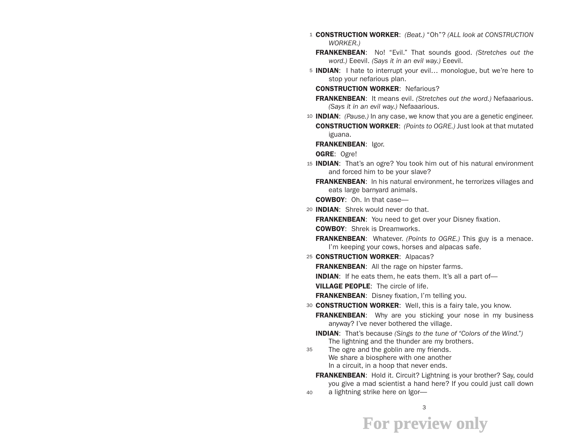- 1 CONSTRUCTION WORKER: *(Beat.)* "Oh"? *(ALL look at CONSTRUCTION WORKER.)*
	- FRANKENBEAN: No! "Evil." That sounds good. *(Stretches out the word.)* Eeevil. *(Says it in an evil way.)* Eeevil.
- 5 **INDIAN**: I hate to interrupt your evil... monologue, but we're here to stop your nefarious plan.

CONSTRUCTION WORKER: Nefarious?

FRANKENBEAN: It means evil. *(Stretches out the word.)* Nefaaarious. *(Says it in an evil way.)* Nefaaarious.

10 INDIAN: *(Pause.)* In any case, we know that you are a genetic engineer. CONSTRUCTION WORKER: *(Points to OGRE.)* Just look at that mutated iguana.

FRANKENBEAN: Igor.

OGRE: Ogre!

- 15 **INDIAN**: That's an ogre? You took him out of his natural environment and forced him to be your slave?
	- **FRANKENBEAN:** In his natural environment, he terrorizes villages and eats large barnyard animals.

COWBOY: Oh. In that case—

20 INDIAN: Shrek would never do that.

**FRANKENBEAN:** You need to get over your Disney fixation.

COWBOY: Shrek is Dreamworks.

FRANKENBEAN: Whatever. *(Points to OGRE.)* This guy is a menace. I'm keeping your cows, horses and alpacas safe.

25 CONSTRUCTION WORKER: Alpacas?

**FRANKENBEAN:** All the rage on hipster farms.

**INDIAN:** If he eats them, he eats them. It's all a part of-

VILLAGE PEOPLE: The circle of life.

FRANKENBEAN: Disney fixation, I'm telling you.

30 CONSTRUCTION WORKER: Well, this is a fairy tale, you know.

**FRANKENBEAN:** Why are you sticking your nose in my business anyway? I've never bothered the village.

INDIAN: That's because *(Sings to the tune of "Colors of the Wind.")* The lightning and the thunder are my brothers.

- 35 The ogre and the goblin are my friends. We share a biosphere with one another In a circuit, in a hoop that never ends.
- 40 FRANKENBEAN: Hold it. Circuit? Lightning is your brother? Say, could you give a mad scientist a hand here? If you could just call down a lightning strike here on Igor—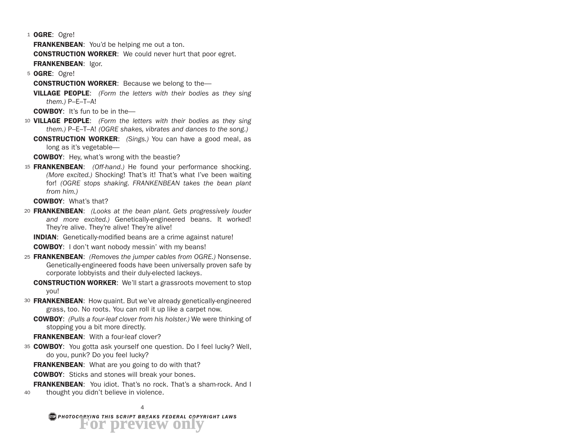1 **OGRE:** Ogre!

**FRANKENBEAN:** You'd be helping me out a ton.

**CONSTRUCTION WORKER:** We could never hurt that poor egret. FRANKENBEAN: Igor.

5 OGRE: Ogre!

**CONSTRUCTION WORKER:** Because we belong to the-

VILLAGE PEOPLE: *(Form the letters with their bodies as they sing them.)* P–E–T–A!

COWBOY: It's fun to be in the—

- 10 VILLAGE PEOPLE: *(Form the letters with their bodies as they sing them.)* P–E–T–A! *(OGRE shakes, vibrates and dances to the song.)*
	- CONSTRUCTION WORKER: *(Sings.)* You can have a good meal, as long as it's vegetable—

COWBOY: Hey, what's wrong with the beastie?

15 FRANKENBEAN: *(Off-hand.)* He found your performance shocking. *(More excited.)* Shocking! That's it! That's what I've been waiting for! *(OGRE stops shaking. FRANKENBEAN takes the bean plant from him.)*

COWBOY: What's that?

20 FRANKENBEAN: *(Looks at the bean plant. Gets progressively louder and more excited.)* Genetically-engineered beans. It worked! They're alive. They're alive! They're alive!

INDIAN: Genetically-modified beans are a crime against nature!

COWBOY: I don't want nobody messin' with my beans!

- 25 FRANKENBEAN: *(Removes the jumper cables from OGRE.)* Nonsense. Genetically-engineered foods have been universally proven safe by corporate lobbyists and their duly-elected lackeys.
	- **CONSTRUCTION WORKER:** We'll start a grassroots movement to stop you!
- 30 **FRANKENBEAN**: How quaint. But we've already genetically-engineered grass, too. No roots. You can roll it up like a carpet now.
	- COWBOY: *(Pulls a four-leaf clover from his holster.)* We were thinking of stopping you a bit more directly.

FRANKENBEAN: With a four-leaf clover?

35 COWBOY: You gotta ask yourself one question. Do I feel lucky? Well, do you, punk? Do you feel lucky?

**FRANKENBEAN:** What are you going to do with that?

**COWBOY:** Sticks and stones will break your bones.

40 **FRANKENBEAN:** You idiot. That's no rock. That's a sham-rock. And I thought you didn't believe in violence.

*PHOTOCOPYING THIS SCRIPT BREAKS FEDERAL COPYRIGHT LAWS* **For preview only**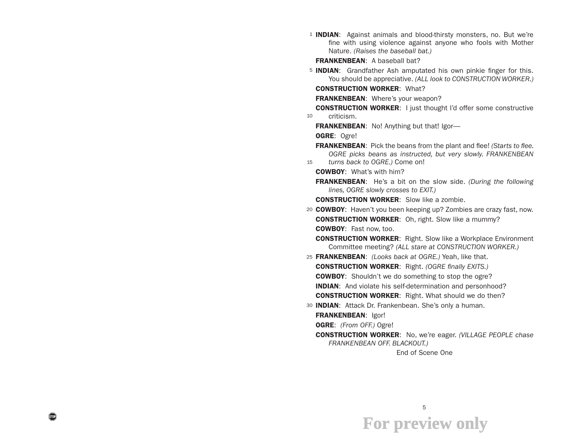<sup>1</sup> INDIAN: Against animals and blood-thirsty monsters, no. But we're fine with using violence against anyone who fools with Mother Nature. *(Raises the baseball bat.)*

FRANKENBEAN: A baseball bat?

5 INDIAN: Grandfather Ash amputated his own pinkie finger for this. You should be appreciative. *(ALL look to CONSTRUCTION WORKER.)*

CONSTRUCTION WORKER: What?

FRANKENBEAN: Where's your weapon?

- 10 **CONSTRUCTION WORKER:** I just thought I'd offer some constructive criticism.
	- FRANKENBEAN: No! Anything but that! Igor-
	- OGRE: Ogre!
- 15 FRANKENBEAN: Pick the beans from the plant and flee! *(Starts to flee. OGRE picks beans as instructed, but very slowly. FRANKENBEAN turns back to OGRE.)* Come on!
	- COWBOY: What's with him?
	- FRANKENBEAN: He's a bit on the slow side. *(During the following lines, OGRE slowly crosses to EXIT.)*
	- CONSTRUCTION WORKER: Slow like a zombie.
- 20 COWBOY: Haven't you been keeping up? Zombies are crazy fast, now. **CONSTRUCTION WORKER:** Oh, right. Slow like a mummy? COWBOY: Fast now, too.
	- CONSTRUCTION WORKER: Right. Slow like a Workplace Environment Committee meeting? *(ALL stare at CONSTRUCTION WORKER.)*
- 25 FRANKENBEAN: *(Looks back at OGRE.)* Yeah, like that. CONSTRUCTION WORKER: Right. *(OGRE finally EXITS.)* **COWBOY:** Shouldn't we do something to stop the ogre? INDIAN: And violate his self-determination and personhood? **CONSTRUCTION WORKER:** Right. What should we do then?
- 30 **INDIAN:** Attack Dr. Frankenbean. She's only a human.
	- FRANKENBEAN: Igor!

OGRE: *(From OFF.)* Ogre!

CONSTRUCTION WORKER: No, we're eager. *(VILLAGE PEOPLE chase FRANKENBEAN OFF. BLACKOUT.)*

End of Scene One

5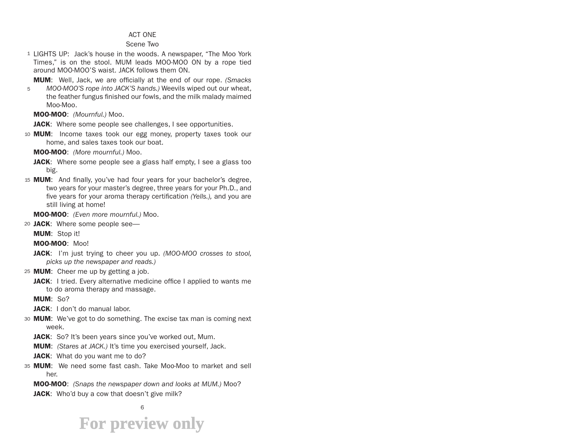#### ACT ONE

#### Scene Two

1 LIGHTS UP: Jack's house in the woods. A newspaper, "The Moo York Times," is on the stool. MUM leads MOO-MOO ON by a rope tied around MOO-MOO'S waist. JACK follows them ON.

MUM: Well, Jack, we are officially at the end of our rope. *(Smacks* 

5 *MOO-MOO'S rope into JACK'S hands.)* Weevils wiped out our wheat, the feather fungus finished our fowls, and the milk malady maimed Moo-Moo.

MOO-MOO: *(Mournful.)* Moo.

JACK: Where some people see challenges, I see opportunities.

10 MUM: Income taxes took our egg money, property taxes took our home, and sales taxes took our boat.

MOO-MOO: *(More mournful.)* Moo.

- **JACK:** Where some people see a glass half empty, I see a glass too big.
- 15 MUM: And finally, you've had four years for your bachelor's degree, two years for your master's degree, three years for your Ph.D., and five years for your aroma therapy certification *(Yells.),* and you are still living at home!

MOO-MOO: *(Even more mournful.)* Moo.

20 JACK: Where some people see-

MUM: Stop it!

MOO-MOO: Moo!

- JACK: I'm just trying to cheer you up. *(MOO-MOO crosses to stool, picks up the newspaper and reads.)*
- 25 MUM: Cheer me up by getting a job.
	- **JACK:** I tried. Every alternative medicine office I applied to wants me to do aroma therapy and massage.

MUM: So?

- JACK: I don't do manual labor.
- 30 MUM: We've got to do something. The excise tax man is coming next week.
	- JACK: So? It's been years since you've worked out, Mum.
	- MUM: *(Stares at JACK.)* It's time you exercised yourself, Jack.
	- JACK: What do you want me to do?
- 35 MUM: We need some fast cash. Take Moo-Moo to market and sell her.

MOO-MOO: *(Snaps the newspaper down and looks at MUM.)* Moo?

**JACK:** Who'd buy a cow that doesn't give milk?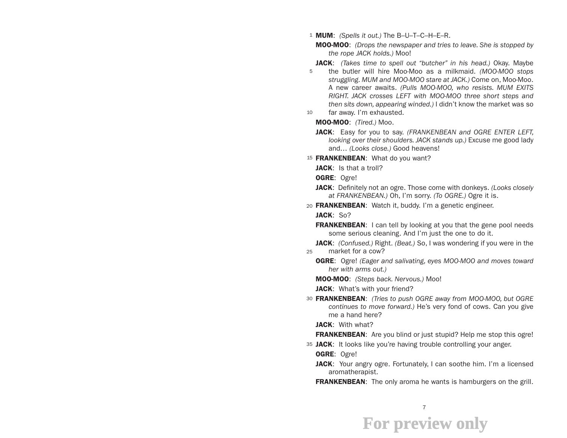1 MUM: *(Spells it out.)* The B–U–T–C–H–E–R.

MOO-MOO: *(Drops the newspaper and tries to leave. She is stopped by the rope JACK holds.)* Moo!

5 JACK: *(Takes time to spell out "butcher" in his head.)* Okay. Maybe the butler will hire Moo-Moo as a milkmaid. *(MOO-MOO stops struggling. MUM and MOO-MOO stare at JACK.)* Come on, Moo-Moo. A new career awaits. *(Pulls MOO-MOO, who resists. MUM EXITS RIGHT. JACK crosses LEFT with MOO-MOO three short steps and then sits down, appearing winded.)* I didn't know the market was so far away. I'm exhausted.

10

MOO-MOO: *(Tired.)* Moo.

- JACK: Easy for you to say. *(FRANKENBEAN and OGRE ENTER LEFT, looking over their shoulders. JACK stands up.)* Excuse me good lady and… *(Looks close.)* Good heavens!
- 15 FRANKENBEAN: What do you want?

JACK: Is that a troll?

- OGRE: Ogre!
- JACK: Definitely not an ogre. Those come with donkeys. *(Looks closely at FRANKENBEAN.)* Oh, I'm sorry. *(To OGRE.)* Ogre it is.

20 FRANKENBEAN: Watch it, buddy. I'm a genetic engineer.

JACK: So?

FRANKENBEAN: I can tell by looking at you that the gene pool needs some serious cleaning. And I'm just the one to do it.

25 JACK: *(Confused.)* Right. *(Beat.)* So, I was wondering if you were in the market for a cow?

- OGRE: Ogre! *(Eager and salivating, eyes MOO-MOO and moves toward her with arms out.)*
- MOO-MOO: *(Steps back. Nervous.)* Moo!

JACK: What's with your friend?

30 FRANKENBEAN: *(Tries to push OGRE away from MOO-MOO, but OGRE continues to move forward.)* He's very fond of cows. Can you give me a hand here?

JACK: With what?

**FRANKENBEAN:** Are you blind or just stupid? Help me stop this ogre!

35 JACK: It looks like you're having trouble controlling your anger.

OGRE: Ogre!

JACK: Your angry ogre. Fortunately, I can soothe him. I'm a licensed aromatherapist.

FRANKENBEAN: The only aroma he wants is hamburgers on the grill.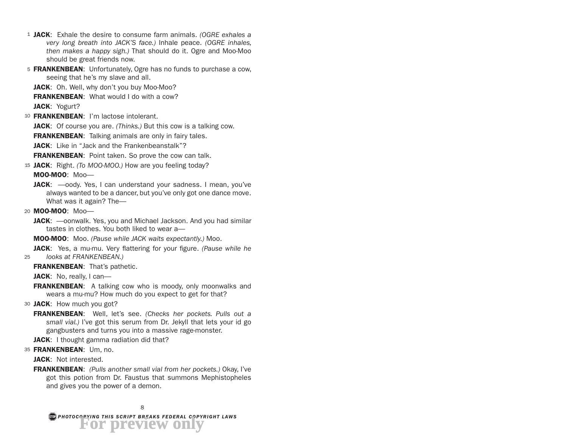- 1 JACK: Exhale the desire to consume farm animals. *(OGRE exhales a very long breath into JACK'S face.)* Inhale peace. *(OGRE inhales, then makes a happy sigh.)* That should do it. Ogre and Moo-Moo should be great friends now.
- 5 FRANKENBEAN: Unfortunately, Ogre has no funds to purchase a cow, seeing that he's my slave and all.

JACK: Oh. Well, why don't you buy Moo-Moo?

**FRANKENBEAN:** What would I do with a cow?

JACK: Yogurt?

- 10 **FRANKENBEAN:** I'm lactose intolerant. JACK: Of course you are. *(Thinks.)* But this cow is a talking cow. **FRANKENBEAN:** Talking animals are only in fairy tales. **JACK:** Like in "Jack and the Frankenbeanstalk"? **FRANKENBEAN:** Point taken. So prove the cow can talk.
- 15 JACK: Right. *(To MOO-MOO.)* How are you feeling today? MOO-MOO: Moo—
	- JACK:  $\rightarrow$ oody. Yes, I can understand your sadness. I mean, you've always wanted to be a dancer, but you've only got one dance move. What was it again? The—
- 20 MOO-MOO: Moo-
	- JACK: oonwalk. Yes, you and Michael Jackson. And you had similar tastes in clothes. You both liked to wear a—

MOO-MOO: Moo. *(Pause while JACK waits expectantly.)* Moo.

25 JACK: Yes, a mu-mu. Very flattering for your figure. *(Pause while he looks at FRANKENBEAN.)*

FRANKENBEAN: That's pathetic.

JACK: No, really, I can-

**FRANKENBEAN:** A talking cow who is moody, only moonwalks and wears a mu-mu? How much do you expect to get for that?

30 JACK: How much you got?

FRANKENBEAN: Well, let's see. *(Checks her pockets. Pulls out a small vial.)* I've got this serum from Dr. Jekyll that lets your id go gangbusters and turns you into a massive rage-monster.

JACK: I thought gamma radiation did that?

35 FRANKENBEAN: Um, no.

JACK: Not interested.

FRANKENBEAN: *(Pulls another small vial from her pockets.)* Okay, I've got this potion from Dr. Faustus that summons Mephistopheles and gives you the power of a demon.

*PHOTOCOPYING THIS SCRIPT BREAKS FEDERAL COPYRIGHT LAWS* **For preview only**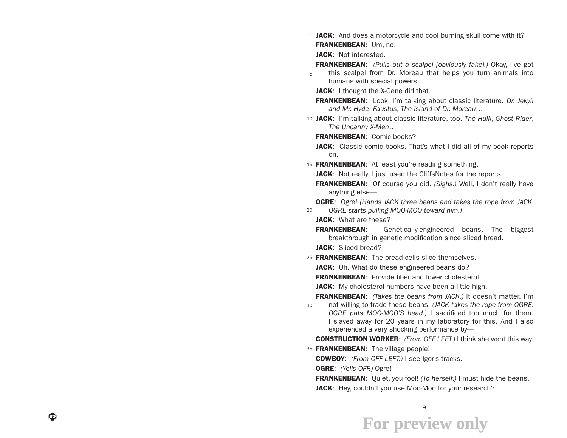1 JACK: And does a motorcycle and cool burning skull come with it? FRANKENBEAN: Um, no.

JACK: Not interested.

FRANKENBEAN: *(Pulls out a scalpel [obviously fake].)* Okay, I've got

- 5 this scalpel from Dr. Moreau that helps you turn animals into humans with special powers.
	- JACK: I thought the X-Gene did that.
	- FRANKENBEAN: Look, I'm talking about classic literature. *Dr. Jekyll and Mr. Hyde*, *Faustus*, *The Island of Dr. Moreau*…
- 10 JACK: I'm talking about classic literature, too. *The Hulk*, *Ghost Rider*, *The Uncanny X-Men*…
	- FRANKENBEAN: Comic books?
	- JACK: Classic comic books. That's what I did all of my book reports on.
- 15 FRANKENBEAN: At least you're reading something.

JACK: Not really. I just used the CliffsNotes for the reports.

- FRANKENBEAN: Of course you did. *(Sighs.)* Well, I don't really have anything else—
- 20 OGRE: Ogre! *(Hands JACK three beans and takes the rope from JACK. OGRE starts pulling MOO-MOO toward him.)*

JACK: What are these?

FRANKENBEAN: Genetically-engineered beans. The biggest breakthrough in genetic modification since sliced bread.

JACK: Sliced bread?

- 25 FRANKENBEAN: The bread cells slice themselves.
	- JACK: Oh. What do these engineered beans do?
	- FRANKENBEAN: Provide fiber and lower cholesterol.
	- JACK: My cholesterol numbers have been a little high.
- 30 FRANKENBEAN: *(Takes the beans from JACK.)* It doesn't matter. I'm not willing to trade these beans. *(JACK takes the rope from OGRE. OGRE pats MOO-MOO'S head.)* I sacrificed too much for them. I slaved away for 20 years in my laboratory for this. And I also experienced a very shocking performance by—

CONSTRUCTION WORKER: *(From OFF LEFT.)* I think she went this way.

- 35 FRANKENBEAN: The village people!
	- COWBOY: *(From OFF LEFT.)* I see Igor's tracks.
	- OGRE: *(Yells OFF.)* Ogre!

FRANKENBEAN: Quiet, you fool! *(To herself.)* I must hide the beans.

JACK: Hey, couldn't you use Moo-Moo for your research?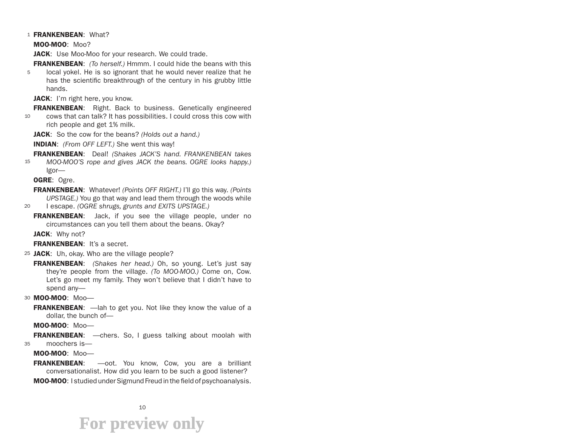#### 1 FRANKENBEAN: What?

MOO-MOO: Moo?

JACK: Use Moo-Moo for your research. We could trade.

5 FRANKENBEAN: *(To herself.)* Hmmm. I could hide the beans with this local yokel. He is so ignorant that he would never realize that he has the scientific breakthrough of the century in his grubby little hands.

JACK: I'm right here, you know.

**FRANKENBEAN:** Right. Back to business. Genetically engineered

10 cows that can talk? It has possibilities. I could cross this cow with rich people and get 1% milk.

JACK: So the cow for the beans? *(Holds out a hand.)*

INDIAN: *(From OFF LEFT.)* She went this way!

15 FRANKENBEAN: Deal! *(Shakes JACK'S hand. FRANKENBEAN takes MOO-MOO'S rope and gives JACK the beans. OGRE looks happy.)*  Igor—

OGRE: Ogre.

FRANKENBEAN: Whatever! *(Points OFF RIGHT.)* I'll go this way*. (Points UPSTAGE.)* You go that way and lead them through the woods while

20 I escape. *(OGRE shrugs, grunts and EXITS UPSTAGE.)*

FRANKENBEAN: Jack, if you see the village people, under no circumstances can you tell them about the beans. Okay?

JACK: Why not?

FRANKENBEAN: It's a secret.

25 JACK: Uh, okay. Who are the village people?

FRANKENBEAN: *(Shakes her head.)* Oh, so young. Let's just say they're people from the village. *(To MOO-MOO.)* Come on, Cow. Let's go meet my family. They won't believe that I didn't have to spend any—

30 MOO-MOO: Moo-

**FRANKENBEAN:** — lah to get you. Not like they know the value of a dollar, the bunch of—

MOO-MOO: Moo—

35 **FRANKENBEAN:** —chers. So, I guess talking about moolah with moochers is—

MOO-MOO: Moo—

FRANKENBEAN: - oot. You know, Cow, you are a brilliant conversationalist. How did you learn to be such a good listener?

MOO-MOO: I studied under Sigmund Freud in the field of psychoanalysis.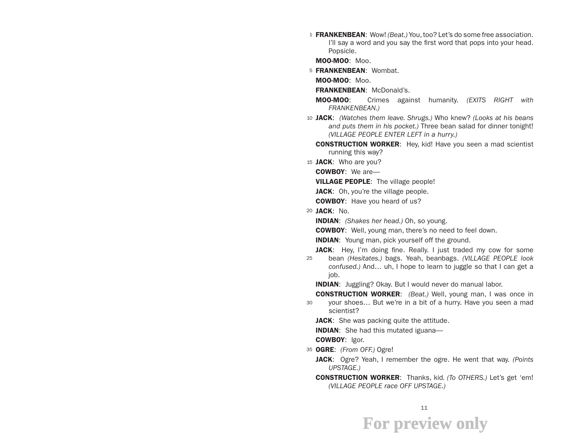1 FRANKENBEAN: Wow! *(Beat.)* You, too? Let's do some free association. I'll say a word and you say the first word that pops into your head. Popsicle.

MOO-MOO: Moo.

5 FRANKENBEAN: Wombat.

MOO-MOO: Moo.

FRANKENBEAN: McDonald's.

MOO-MOO: Crimes against humanity. *(EXITS RIGHT with FRANKENBEAN.)*

- 10 JACK: *(Watches them leave. Shrugs.)* Who knew? *(Looks at his beans and puts them in his pocket.)* Three bean salad for dinner tonight! *(VILLAGE PEOPLE ENTER LEFT in a hurry.)*
	- CONSTRUCTION WORKER: Hey, kid! Have you seen a mad scientist running this way?

15 JACK: Who are you?

COWBOY: We are—

**VILLAGE PEOPLE:** The village people!

JACK: Oh, you're the village people.

**COWBOY:** Have you heard of us?

20 JACK: No.

INDIAN: *(Shakes her head.)* Oh, so young.

COWBOY: Well, young man, there's no need to feel down.

**INDIAN:** Young man, pick yourself off the ground.

**JACK:** Hey, I'm doing fine. Really, I just traded my cow for some

25 bean *(Hesitates.)* bags. Yeah, beanbags. *(VILLAGE PEOPLE look confused.)* And… uh, I hope to learn to juggle so that I can get a job.

INDIAN: Juggling? Okay. But I would never do manual labor.

30 CONSTRUCTION WORKER: *(Beat.)* Well, young man, I was once in your shoes… But we're in a bit of a hurry. Have you seen a mad scientist?

JACK: She was packing quite the attitude.

INDIAN: She had this mutated iguana—

COWBOY: Igor.

- 35 OGRE: *(From OFF.)* Ogre!
	- JACK: Ogre? Yeah, I remember the ogre. He went that way. *(Points UPSTAGE.)*
	- CONSTRUCTION WORKER: Thanks, kid*. (To OTHERS.)* Let's get 'em! *(VILLAGE PEOPLE race OFF UPSTAGE.)*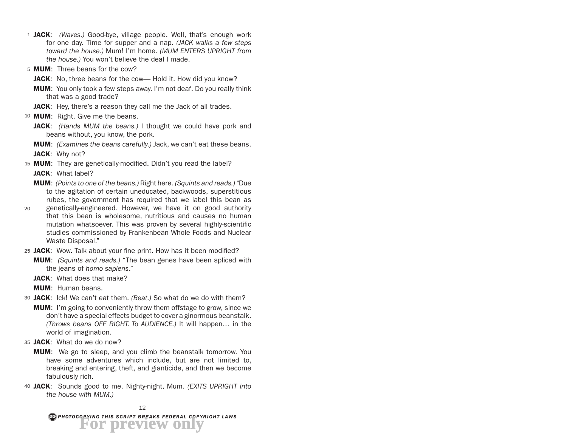- 1 JACK: *(Waves.)* Good-bye, village people. Well, that's enough work for one day. Time for supper and a nap. *(JACK walks a few steps toward the house.)* Mum! I'm home. *(MUM ENTERS UPRIGHT from the house.)* You won't believe the deal I made.
- 5 **MUM**: Three beans for the cow?
	- JACK: No, three beans for the cow— Hold it. How did you know?
	- **MUM:** You only took a few steps away. I'm not deaf. Do you really think that was a good trade?
	- JACK: Hey, there's a reason they call me the Jack of all trades.
- <sup>10</sup> MUM: Right. Give me the beans.
	- JACK: *(Hands MUM the beans.)* I thought we could have pork and beans without, you know, the pork.
	- MUM: *(Examines the beans carefully.)* Jack, we can't eat these beans.
	- JACK: Why not?
- 15 MUM: They are genetically-modified. Didn't you read the label? JACK: What label?
	- MUM: *(Points to one of the beans.)* Right here. *(Squints and reads.) "*Due to the agitation of certain uneducated, backwoods, superstitious rubes, the government has required that we label this bean as
- 20 genetically-engineered. However, we have it on good authority that this bean is wholesome, nutritious and causes no human mutation whatsoever. This was proven by several highly-scientific studies commissioned by Frankenbean Whole Foods and Nuclear Waste Disposal."
- 25 JACK: Wow. Talk about your fine print. How has it been modified? MUM: *(Squints and reads.)* "The bean genes have been spliced with the jeans of *homo sapiens*."
	- JACK: What does that make?
	- MUM: Human beans.
- 30 JACK: Ick! We can't eat them. *(Beat.)* So what do we do with them?
	- **MUM:** I'm going to conveniently throw them offstage to grow, since we don't have a special effects budget to cover a ginormous beanstalk. *(Throws beans OFF RIGHT. To AUDIENCE.)* It will happen… in the world of imagination.
- 35 JACK: What do we do now?
	- **MUM:** We go to sleep, and you climb the beanstalk tomorrow. You have some adventures which include, but are not limited to, breaking and entering, theft, and gianticide, and then we become fabulously rich.
- 40 JACK: Sounds good to me. Nighty-night, Mum. *(EXITS UPRIGHT into the house with MUM.)*

*PHOTOCOPYING THIS SCRIPT BREAKS FEDERAL COPYRIGHT LAWS* **For preview only**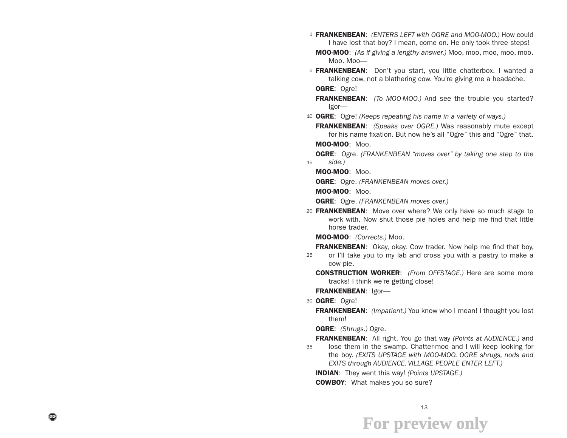- 1 FRANKENBEAN: *(ENTERS LEFT with OGRE and MOO-MOO.)* How could I have lost that boy? I mean, come on. He only took three steps!
	- MOO-MOO: *(As if giving a lengthy answer.)* Moo, moo, moo, moo, moo. Moo. Moo—
- 5 FRANKENBEAN: Don't you start, you little chatterbox. I wanted a talking cow, not a blathering cow. You're giving me a headache.
	- OGRE: Ogre!
	- FRANKENBEAN: *(To MOO-MOO.)* And see the trouble you started? Igor—
- 10 OGRE: Ogre! *(Keeps repeating his name in a variety of ways.)*

FRANKENBEAN: *(Speaks over OGRE.)* Was reasonably mute except for his name fixation. But now he's all "Ogre" this and "Ogre" that.

MOO-MOO: Moo.

15 OGRE: Ogre. *(FRANKENBEAN "moves over" by taking one step to the side.)*

MOO-MOO: Moo.

OGRE: Ogre. *(FRANKENBEAN moves over.)*

MOO-MOO: Moo.

OGRE: Ogre. *(FRANKENBEAN moves over.)*

20 FRANKENBEAN: Move over where? We only have so much stage to work with. Now shut those pie holes and help me find that little horse trader.

MOO-MOO: *(Corrects.)* Moo.

25 **FRANKENBEAN:** Okay, okay. Cow trader. Now help me find that boy, or I'll take you to my lab and cross you with a pastry to make a

cow pie.

CONSTRUCTION WORKER: *(From OFFSTAGE.)* Here are some more tracks! I think we're getting close!

FRANKENBEAN: Igor-

30 OGRE: Ogre!

FRANKENBEAN: *(Impatient.)* You know who I mean! I thought you lost them!

OGRE: *(Shrugs.)* Ogre.

35 FRANKENBEAN: All right. You go that way *(Points at AUDIENCE.)* and lose them in the swamp. Chatter-moo and I will keep looking for the boy. *(EXITS UPSTAGE with MOO-MOO. OGRE shrugs, nods and EXITS through AUDIENCE. VILLAGE PEOPLE ENTER LEFT.)*

INDIAN: They went this way! *(Points UPSTAGE.)*

COWBOY: What makes you so sure?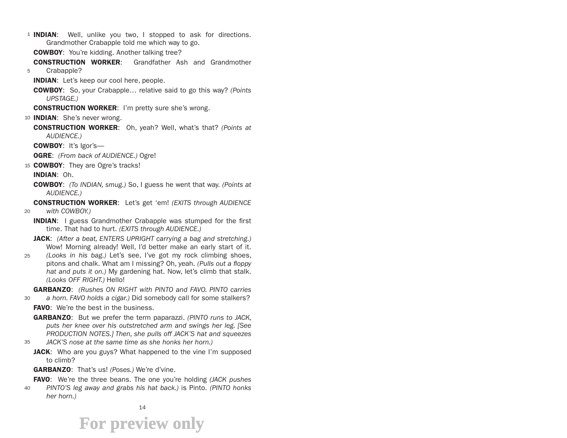- 1 **INDIAN**: Well, unlike you two, I stopped to ask for directions. Grandmother Crabapple told me which way to go.
	- COWBOY: You're kidding. Another talking tree?
- 5 CONSTRUCTION WORKER: Grandfather Ash and Grandmother Crabapple?
	- INDIAN: Let's keep our cool here, people.
	- COWBOY: So, your Crabapple… relative said to go this way? *(Points UPSTAGE.)*
	- **CONSTRUCTION WORKER:** I'm pretty sure she's wrong.
- 10 **INDIAN:** She's never wrong.
	- CONSTRUCTION WORKER: Oh, yeah? Well, what's that? *(Points at AUDIENCE.)*
	- COWBOY: It's Igor's—
	- OGRE: *(From back of AUDIENCE.)* Ogre!
- 15 **COWBOY:** They are Ogre's tracks!
	- INDIAN: Oh.
	- COWBOY: *(To INDIAN, smug.)* So, I guess he went that way. *(Points at AUDIENCE.)*
	- CONSTRUCTION WORKER: Let's get 'em! *(EXITS through AUDIENCE*
- 20 *with COWBOY.)*
	- **INDIAN:** I guess Grandmother Crabapple was stumped for the first time. That had to hurt. *(EXITS through AUDIENCE.)*
	- JACK: *(After a beat, ENTERS UPRIGHT carrying a bag and stretching.)*  Wow! Morning already! Well, I'd better make an early start of it.
- 25 *(Looks in his bag.)* Let's see, I've got my rock climbing shoes, pitons and chalk. What am I missing? Oh, yeah. *(Pulls out a floppy hat and puts it on.)* My gardening hat. Now, let's climb that stalk. *(Looks OFF RIGHT.)* Hello!
- 30 GARBANZO: *(Rushes ON RIGHT with PINTO and FAVO. PINTO carries a horn. FAVO holds a cigar.)* Did somebody call for some stalkers?
	- **FAVO:** We're the best in the business.
	- GARBANZO: But we prefer the term paparazzi. *(PINTO runs to JACK, puts her knee over his outstretched arm and swings her leg. [See PRODUCTION NOTES.] Then, she pulls off JACK'S hat and squeezes*
- 35 *JACK'S nose at the same time as she honks her horn.)*
	- **JACK:** Who are you guys? What happened to the vine I'm supposed to climb?
	- GARBANZO: That's us! *(Poses.)* We're d'vine.

FAVO: We're the three beans. The one you're holding *(JACK pushes* 

40 *PINTO'S leg away and grabs his hat back.)* is Pinto. *(PINTO honks her horn.)*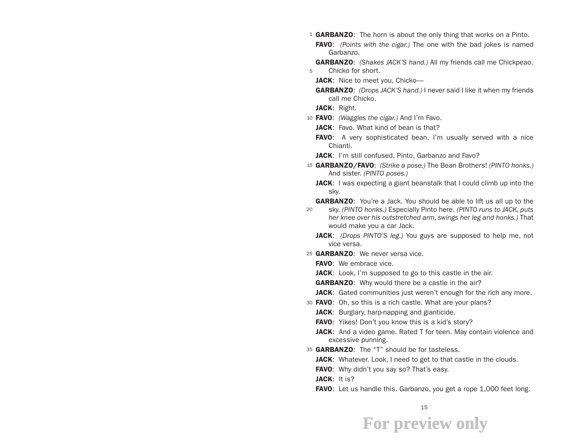- <sup>1</sup> GARBANZO: The horn is about the only thing that works on a Pinto.
	- FAVO: *(Points with the cigar.)* The one with the bad jokes is named Garbanzo.
- 5 GARBANZO: *(Shakes JACK'S hand.)* All my friends call me Chickpeao. Chicko for short.
	- JACK: Nice to meet you, Chicko-
	- GARBANZO: *(Drops JACK'S hand.)* I never said I like it when my friends call me Chicko.
	- JACK: Right.
- 10 FAVO: *(Waggles the cigar.)* And I'm Favo.
	- JACK: Favo. What kind of bean is that?
	- FAVO: A very sophisticated bean. I'm usually served with a nice Chianti.
	- JACK: I'm still confused. Pinto, Garbanzo and Favo?
- 15 GARBANZO/FAVO: *(Strike a pose.)* The Bean Brothers! *(PINTO honks.)*  And sister. *(PINTO poses.)*
	- JACK: I was expecting a giant beanstalk that I could climb up into the sky.
	- **GARBANZO:** You're a Jack. You should be able to lift us all up to the
- 20 sky. *(PINTO honks.)* Especially Pinto here. *(PINTO runs to JACK, puts her knee over his outstretched arm, swings her leg and honks.)* That would make you a car Jack.
	- JACK: *(Drops PINTO'S leg.)* You guys are supposed to help me, not vice versa.
- 25 GARBANZO: We never versa vice.
	- FAVO: We embrace vice.
	- JACK: Look, I'm supposed to go to this castle in the air.
	- **GARBANZO:** Why would there be a castle in the air?
	- JACK: Gated communities just weren't enough for the rich any more.
- 30 **FAVO**: Oh, so this is a rich castle. What are your plans?
	- **JACK:** Burglary, harp-napping and gianticide.
	- FAVO: Yikes! Don't you know this is a kid's story?
	- JACK: And a video game. Rated T for teen. May contain violence and excessive punning.
- 35 GARBANZO: The "T" should be for tasteless.
	- JACK: Whatever. Look, I need to get to that castle in the clouds.
	- **FAVO:** Why didn't you say so? That's easy.
	- JACK: It is?
	- FAVO: Let us handle this. Garbanzo, you get a rope 1,000 feet long.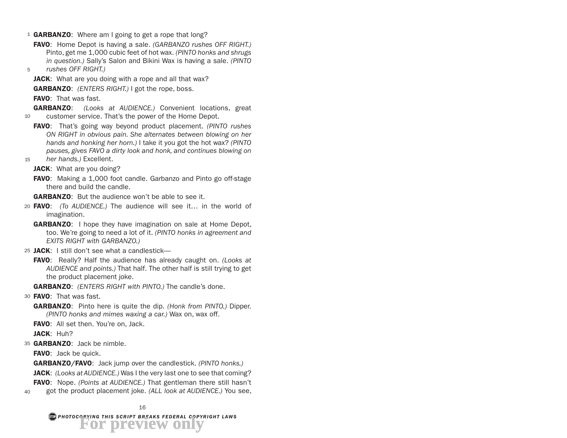- 1 GARBANZO: Where am I going to get a rope that long?
	- FAVO: Home Depot is having a sale. *(GARBANZO rushes OFF RIGHT.)*  Pinto, get me 1,000 cubic feet of hot wax. *(PINTO honks and shrugs in question.)* Sally's Salon and Bikini Wax is having a sale. *(PINTO*
- 5 *rushes OFF RIGHT.)*

JACK: What are you doing with a rope and all that wax?

GARBANZO: *(ENTERS RIGHT.)* I got the rope, boss.

**FAVO:** That was fast.

10 GARBANZO: *(Looks at AUDIENCE.)* Convenient locations, great customer service. That's the power of the Home Depot.

- FAVO: That's going way beyond product placement. *(PINTO rushes ON RIGHT in obvious pain. She alternates between blowing on her hands and honking her horn.)* I take it you got the hot wax? *(PINTO pauses, gives FAVO a dirty look and honk, and continues blowing on*
- 15 *her hands.)* Excellent.

JACK: What are you doing?

FAVO: Making a 1,000 foot candle. Garbanzo and Pinto go off-stage there and build the candle.

**GARBANZO:** But the audience won't be able to see it.

- 20 FAVO: *(To AUDIENCE.)* The audience will see it… in the world of imagination.
	- **GARBANZO:** I hope they have imagination on sale at Home Depot, too. We're going to need a lot of it. *(PINTO honks in agreement and EXITS RIGHT with GARBANZO.)*
- 25 JACK: I still don't see what a candlestick-
	- FAVO: Really? Half the audience has already caught on. *(Looks at AUDIENCE and points.)* That half. The other half is still trying to get the product placement joke.

GARBANZO: *(ENTERS RIGHT with PINTO.)* The candle's done.

- 30 **FAVO**: That was fast.
	- GARBANZO: Pinto here is quite the dip. *(Honk from PINTO.)* Dipper. *(PINTO honks and mimes waxing a car.)* Wax on, wax off.
	- FAVO: All set then. You're on, Jack.

JACK: Huh?

35 GARBANZO: Jack be nimble.

FAVO: Jack be quick.

GARBANZO/FAVO: Jack jump over the candlestick. *(PINTO honks.)*

JACK: *(Looks at AUDIENCE.)* Was I the very last one to see that coming?

40 FAVO: Nope. *(Points at AUDIENCE.)* That gentleman there still hasn't got the product placement joke. *(ALL look at AUDIENCE.)* You see,

16

*PHOTOCOPYING THIS SCRIPT BREAKS FEDERAL COPYRIGHT LAWS* **For preview only**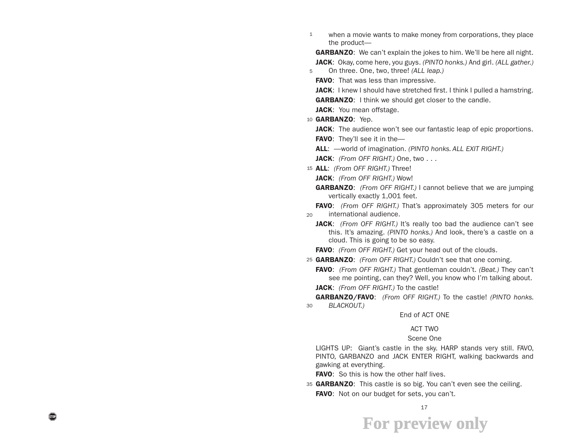1 when a movie wants to make money from corporations, they place the product—

**GARBANZO:** We can't explain the jokes to him. We'll be here all night. JACK: Okay, come here, you guys. *(PINTO honks.)* And girl. *(ALL gather.)*  On three. One, two, three! *(ALL leap.)*

FAVO: That was less than impressive.

JACK: I knew I should have stretched first. I think I pulled a hamstring. **GARBANZO:** I think we should get closer to the candle.

- JACK: You mean offstage.
- 10 GARBANZO: Yep.

5

- JACK: The audience won't see our fantastic leap of epic proportions.
- **FAVO:** They'll see it in the-
- ALL: —world of imagination. *(PINTO honks. ALL EXIT RIGHT.)*

JACK: *(From OFF RIGHT.)* One, two . . .

15 ALL: *(From OFF RIGHT.)* Three!

JACK: *(From OFF RIGHT.)* Wow!

GARBANZO: *(From OFF RIGHT.)* I cannot believe that we are jumping vertically exactly 1,001 feet.

 $20$ FAVO: *(From OFF RIGHT.)* That's approximately 305 meters for our international audience.

- **JACK:** *(From OFF RIGHT.)* It's really too bad the audience can't see this. It's amazing. *(PINTO honks.)* And look, there's a castle on a cloud. This is going to be so easy.
- FAVO: *(From OFF RIGHT.)* Get your head out of the clouds.
- 25 GARBANZO: *(From OFF RIGHT.)* Couldn't see that one coming.

FAVO: *(From OFF RIGHT.)* That gentleman couldn't. *(Beat.)* They can't see me pointing, can they? Well, you know who I'm talking about.

JACK: *(From OFF RIGHT.)* To the castle!

30 GARBANZO/FAVO: *(From OFF RIGHT.)* To the castle! *(PINTO honks. BLACKOUT.)*

#### End of ACT ONE

#### ACT TWO

#### Scene One

LIGHTS UP: Giant's castle in the sky. HARP stands very still. FAVO, PINTO, GARBANZO and JACK ENTER RIGHT, walking backwards and gawking at everything.

**FAVO:** So this is how the other half lives.

35 GARBANZO: This castle is so big. You can't even see the ceiling. FAVO: Not on our budget for sets, you can't.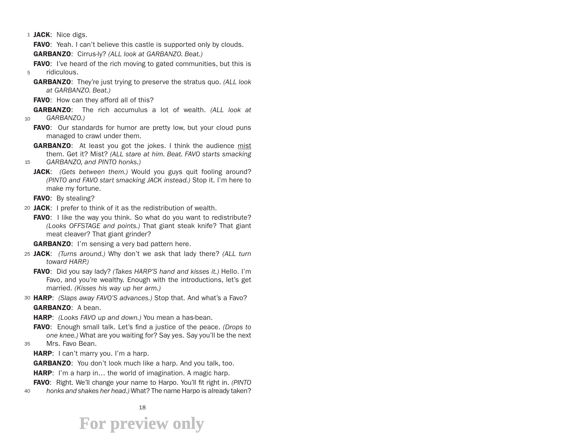1 JACK: Nice digs.

**FAVO:** Yeah. I can't believe this castle is supported only by clouds.

GARBANZO: Cirrus-ly? *(ALL look at GARBANZO. Beat.)*

5 **FAVO:** I've heard of the rich moving to gated communities, but this is ridiculous.

GARBANZO: They're just trying to preserve the stratus quo. *(ALL look at GARBANZO. Beat.)*

FAVO: How can they afford all of this?

10 GARBANZO: The rich accumulus a lot of wealth. *(ALL look at GARBANZO.)*

FAVO: Our standards for humor are pretty low, but your cloud puns managed to crawl under them.

15 **GARBANZO:** At least you got the jokes. I think the audience mist them. Get it? Mist? *(ALL stare at him. Beat. FAVO starts smacking GARBANZO, and PINTO honks.)*

JACK: *(Gets between them.)* Would you guys quit fooling around? *(PINTO and FAVO start smacking JACK instead.)* Stop it. I'm here to make my fortune.

FAVO: By stealing?

20 JACK: I prefer to think of it as the redistribution of wealth.

FAVO: I like the way you think. So what do you want to redistribute? *(Looks OFFSTAGE and points.)* That giant steak knife? That giant meat cleaver? That giant grinder?

**GARBANZO:** I'm sensing a very bad pattern here.

25 JACK: *(Turns around.)* Why don't we ask that lady there? *(ALL turn toward HARP.)*

FAVO: Did you say lady? *(Takes HARP'S hand and kisses it.)* Hello. I'm Favo, and you're wealthy. Enough with the introductions, let's get married. *(Kisses his way up her arm.)*

30 HARP: *(Slaps away FAVO'S advances.)* Stop that. And what's a Favo? GARBANZO: A bean.

HARP: *(Looks FAVO up and down.)* You mean a has-bean.

FAVO: Enough small talk. Let's find a justice of the peace. *(Drops to one knee.)* What are you waiting for? Say yes. Say you'll be the next

35 Mrs. Favo Bean.

HARP: I can't marry you. I'm a harp.

**GARBANZO:** You don't look much like a harp. And you talk, too.

**HARP:** I'm a harp in... the world of imagination. A magic harp.

40 FAVO: Right. We'll change your name to Harpo. You'll fit right in. *(PINTO honks and shakes her head.)* What? The name Harpo is already taken?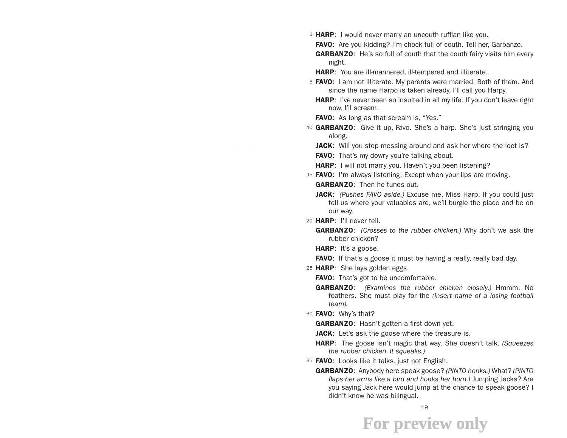1 HARP: I would never marry an uncouth ruffian like you.

FAVO: Are you kidding? I'm chock full of couth. Tell her, Garbanzo.

- **GARBANZO:** He's so full of couth that the couth fairy visits him every night.
- HARP: You are ill-mannered, ill-tempered and illiterate.
- 5 FAVO: I am not illiterate. My parents were married. Both of them. And since the name Harpo is taken already, I'll call you Harpy.
	- **HARP:** I've never been so insulted in all my life. If you don't leave right now, I'll scream.
	- FAVO: As long as that scream is, "Yes."
- 10 **GARBANZO**: Give it up, Favo. She's a harp. She's just stringing you along.
	- **JACK:** Will you stop messing around and ask her where the loot is?
	- **FAVO:** That's my dowry you're talking about.
	- HARP: I will not marry you. Haven't you been listening?
- 15 FAVO: I'm always listening. Except when your lips are moving. GARBANZO: Then he tunes out.
	- JACK: *(Pushes FAVO aside.)* Excuse me, Miss Harp. If you could just tell us where your valuables are, we'll burgle the place and be on our way.
- 20 HARP: I'll never tell.
	- GARBANZO: *(Crosses to the rubber chicken.)* Why don't we ask the rubber chicken?
	- HARP: It's a goose.
	- **FAVO:** If that's a goose it must be having a really, really bad day.
- 25 HARP: She lays golden eggs.
	- **FAVO:** That's got to be uncomfortable.
	- GARBANZO: *(Examines the rubber chicken closely.)* Hmmm. No feathers. She must play for the *(insert name of a losing football team).*
- 30 **FAVO:** Why's that?

**GARBANZO:** Hasn't gotten a first down yet.

- **JACK:** Let's ask the goose where the treasure is.
- HARP: The goose isn't magic that way. She doesn't talk. *(Squeezes the rubber chicken. It squeaks.)*
- 35 FAVO: Looks like it talks, just not English.
	- GARBANZO: Anybody here speak goose? *(PINTO honks.)* What? *(PINTO flaps her arms like a bird and honks her horn.)* Jumping Jacks? Are you saying Jack here would jump at the chance to speak goose? I didn't know he was bilingual.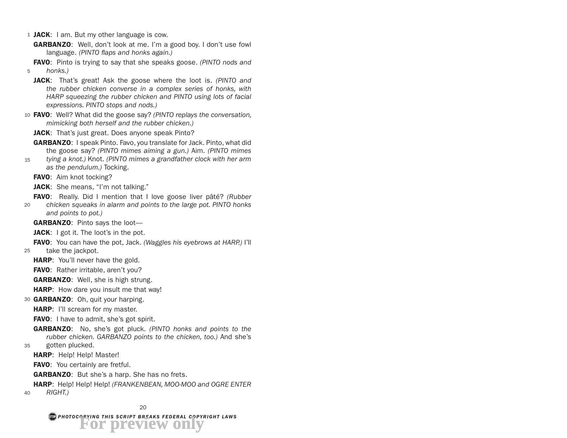- 1 JACK: I am. But my other language is cow.
	- GARBANZO: Well, don't look at me. I'm a good boy. I don't use fowl language. *(PINTO flaps and honks again.)*
- 5 FAVO: Pinto is trying to say that she speaks goose. *(PINTO nods and honks.)*
	- JACK: That's great! Ask the goose where the loot is. *(PINTO and the rubber chicken converse in a complex series of honks, with HARP squeezing the rubber chicken and PINTO using lots of facial expressions. PINTO stops and nods.)*
- 10 FAVO: Well? What did the goose say? *(PINTO replays the conversation, mimicking both herself and the rubber chicken.)*
	- JACK: That's just great. Does anyone speak Pinto?
	- GARBANZO: I speak Pinto. Favo, you translate for Jack. Pinto, what did the goose say? *(PINTO mimes aiming a gun.)* Aim. *(PINTO mimes*
- 15 *tying a knot.)* Knot. *(PINTO mimes a grandfather clock with her arm as the pendulum.)* Tocking.

FAVO: Aim knot tocking?

**JACK:** She means, "I'm not talking."

FAVO: Really. Did I mention that I love goose liver pâté? *(Rubber* 

- 20 *chicken squeaks in alarm and points to the large pot. PINTO honks and points to pot.)*
	- GARBANZO: Pinto says the loot-

**JACK:** I got it. The loot's in the pot.

25 FAVO: You can have the pot, Jack. *(Waggles his eyebrows at HARP.)* I'll take the jackpot.

**HARP:** You'll never have the gold.

**FAVO:** Rather irritable, aren't you?

GARBANZO: Well, she is high strung.

**HARP:** How dare you insult me that way!

- 30 GARBANZO: Oh, quit your harping.
	- HARP: I'll scream for my master.

**FAVO:** I have to admit, she's got spirit.

- 35 GARBANZO: No, she's got pluck. *(PINTO honks and points to the rubber chicken. GARBANZO points to the chicken, too.)* And she's gotten plucked.
	- HARP: Help! Help! Master!

FAVO: You certainly are fretful.

**GARBANZO:** But she's a harp. She has no frets.

#### 40 HARP: Help! Help! Help! *(FRANKENBEAN, MOO-MOO and OGRE ENTER RIGHT.)*

*PHOTOCOPYING THIS SCRIPT BREAKS FEDERAL COPYRIGHT LAWS* **For preview only**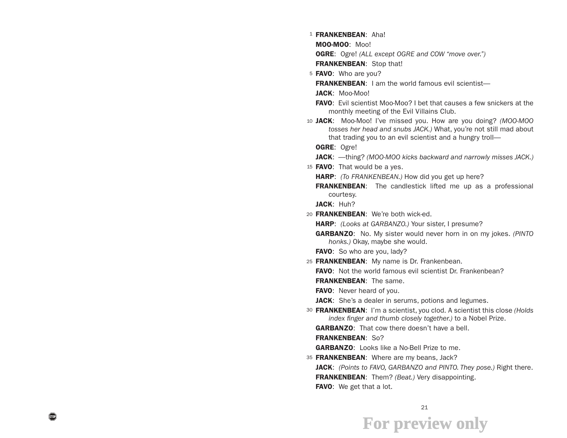<sup>1</sup> FRANKENBEAN: Aha!

MOO-MOO: Moo!

OGRE: Ogre! *(ALL except OGRE and COW "move over.")*

FRANKENBEAN: Stop that!

5 FAVO: Who are you?

FRANKENBEAN: I am the world famous evil scientist-

- JACK: Moo-Moo!
- FAVO: Evil scientist Moo-Moo? I bet that causes a few snickers at the monthly meeting of the Evil Villains Club.
- 10 JACK: Moo-Moo! I've missed you. How are you doing? *(MOO-MOO tosses her head and snubs JACK.)* What, you're not still mad about that trading you to an evil scientist and a hungry troll—
	- OGRE: Ogre!

JACK: —thing? *(MOO-MOO kicks backward and narrowly misses JACK.)*

15 **FAVO**: That would be a yes.

HARP: *(To FRANKENBEAN.)* How did you get up here?

**FRANKENBEAN:** The candlestick lifted me up as a professional courtesy.

JACK: Huh?

20 FRANKENBEAN: We're both wick-ed.

HARP: *(Looks at GARBANZO.)* Your sister, I presume?

GARBANZO: No. My sister would never horn in on my jokes. *(PINTO honks.)* Okay, maybe she would.

FAVO: So who are you, lady?

25 FRANKENBEAN: My name is Dr. Frankenbean.

FAVO: Not the world famous evil scientist Dr. Frankenbean?

FRANKENBEAN: The same.

FAVO: Never heard of you.

JACK: She's a dealer in serums, potions and legumes.

30 FRANKENBEAN: I'm a scientist, you clod. A scientist this close *(Holds index finger and thumb closely together.)* to a Nobel Prize.

**GARBANZO:** That cow there doesn't have a bell.

FRANKENBEAN: So?

**GARBANZO:** Looks like a No-Bell Prize to me.

35 FRANKENBEAN: Where are my beans, Jack?

JACK: *(Points to FAVO, GARBANZO and PINTO. They pose.)* Right there.

FRANKENBEAN: Them? *(Beat.)* Very disappointing.

FAVO: We get that a lot.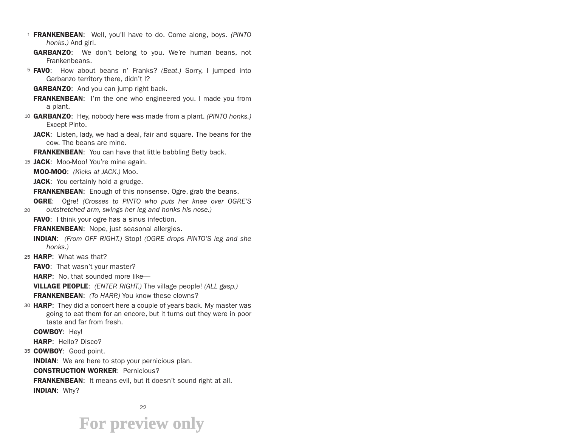- 1 FRANKENBEAN: Well, you'll have to do. Come along, boys. *(PINTO honks.)* And girl.
	- **GARBANZO:** We don't belong to you. We're human beans, not Frankenbeans.
- 5 FAVO: How about beans n' Franks? *(Beat.)* Sorry, I jumped into Garbanzo territory there, didn't I?
	- **GARBANZO:** And you can jump right back.
	- **FRANKENBEAN:** I'm the one who engineered you. I made you from a plant.
- 10 GARBANZO: Hey, nobody here was made from a plant. *(PINTO honks.)*  Except Pinto.
	- **JACK:** Listen, lady, we had a deal, fair and square. The beans for the cow. The beans are mine.

**FRANKENBEAN:** You can have that little babbling Betty back.

- 15 JACK: Moo-Moo! You're mine again.
	- MOO-MOO: *(Kicks at JACK.)* Moo.
	- JACK: You certainly hold a grudge.

**FRANKENBEAN:** Enough of this nonsense. Ogre, grab the beans.

- 20 OGRE: Ogre! *(Crosses to PINTO who puts her knee over OGRE'S outstretched arm, swings her leg and honks his nose.)*
	- FAVO: I think your ogre has a sinus infection.

**FRANKENBEAN:** Nope, just seasonal allergies.

- INDIAN: *(From OFF RIGHT.)* Stop! *(OGRE drops PINTO'S leg and she honks.)*
- 25 HARP: What was that?
	- **FAVO:** That wasn't your master?
	- **HARP:** No, that sounded more like—
	- VILLAGE PEOPLE: *(ENTER RIGHT.)* The village people! *(ALL gasp.)*

FRANKENBEAN: *(To HARP.)* You know these clowns?

30 HARP: They did a concert here a couple of years back. My master was going to eat them for an encore, but it turns out they were in poor taste and far from fresh.

COWBOY: Hey!

HARP: Hello? Disco?

35 COWBOY: Good point.

**INDIAN:** We are here to stop your pernicious plan.

CONSTRUCTION WORKER: Pernicious?

FRANKENBEAN: It means evil, but it doesn't sound right at all. INDIAN: Why?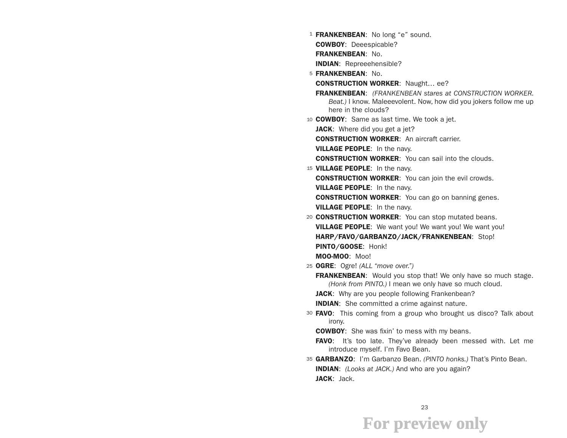- <sup>1</sup> FRANKENBEAN: No long "e" sound. COWBOY: Deeespicable? FRANKENBEAN: No. INDIAN: Repreeehensible?
- 5 FRANKENBEAN: No. CONSTRUCTION WORKER: Naught… ee? FRANKENBEAN: *(FRANKENBEAN stares at CONSTRUCTION WORKER. Beat.)* I know. Maleeevolent. Now, how did you jokers follow me up

here in the clouds?

10 **COWBOY**: Same as last time. We took a jet.

JACK: Where did you get a jet?

CONSTRUCTION WORKER: An aircraft carrier.

VILLAGE PEOPLE: In the navy.

**CONSTRUCTION WORKER:** You can sail into the clouds.

15 VILLAGE PEOPLE: In the navy.

**CONSTRUCTION WORKER:** You can join the evil crowds.

VILLAGE PEOPLE: In the navy.

**CONSTRUCTION WORKER:** You can go on banning genes.

VILLAGE PEOPLE: In the navy.

20 CONSTRUCTION WORKER: You can stop mutated beans. **VILLAGE PEOPLE:** We want you! We want you! We want you! HARP/FAVO/GARBANZO/JACK/FRANKENBEAN: Stop! PINTO/GOOSE: Honk! MOO-MOO: Moo!

25 OGRE: Ogre! *(ALL "move over.")*

**FRANKENBEAN:** Would you stop that! We only have so much stage. *(Honk from PINTO.)* I mean we only have so much cloud.

JACK: Why are you people following Frankenbean?

**INDIAN:** She committed a crime against nature.

30 FAVO: This coming from a group who brought us disco? Talk about irony.

**COWBOY:** She was fixin' to mess with my beans.

FAVO: It's too late. They've already been messed with. Let me introduce myself. I'm Favo Bean.

35 GARBANZO: I'm Garbanzo Bean. *(PINTO honks.)* That's Pinto Bean. INDIAN: *(Looks at JACK.)* And who are you again? JACK: Jack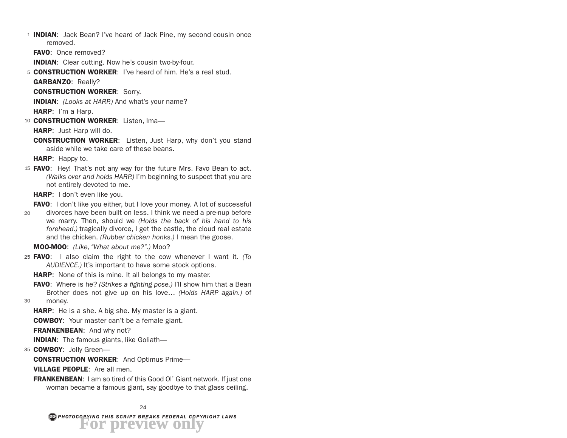1 **INDIAN:** Jack Bean? I've heard of Jack Pine, my second cousin once removed.

FAVO: Once removed?

INDIAN: Clear cutting. Now he's cousin two-by-four.

5 CONSTRUCTION WORKER: I've heard of him. He's a real stud. GARBANZO: Really?

CONSTRUCTION WORKER: Sorry.

INDIAN: *(Looks at HARP.)* And what's your name? HARP: I'm a Harp.

10 CONSTRUCTION WORKER: Listen, Ima-

HARP: Just Harp will do.

CONSTRUCTION WORKER: Listen, Just Harp, why don't you stand aside while we take care of these beans.

HARP: Happy to.

15 **FAVO:** Hey! That's not any way for the future Mrs. Favo Bean to act. *(Walks over and holds HARP.)* I'm beginning to suspect that you are not entirely devoted to me.

HARP: I don't even like you.

FAVO: I don't like you either, but I love your money. A lot of successful

20 divorces have been built on less. I think we need a pre-nup before we marry. Then, should we *(Holds the back of his hand to his forehead.)* tragically divorce, I get the castle, the cloud real estate and the chicken. *(Rubber chicken honks.)* I mean the goose.

MOO-MOO: *(Like, "What about me?".)* Moo?

- 25 FAVO: I also claim the right to the cow whenever I want it. *(To AUDIENCE.)* It's important to have some stock options.
	- **HARP:** None of this is mine. It all belongs to my master.
	- FAVO: Where is he? *(Strikes a fighting pose.)* I'll show him that a Bean Brother does not give up on his love… *(Holds HARP again.)* of money.

30

**HARP:** He is a she. A big she. My master is a giant.

COWBOY: Your master can't be a female giant.

FRANKENBEAN: And why not?

INDIAN: The famous giants, like Goliath—

35 COWBOY: Jolly Green-

CONSTRUCTION WORKER: And Optimus Prime—

VILLAGE PEOPLE: Are all men.

FRANKENBEAN: I am so tired of this Good Ol' Giant network. If just one woman became a famous giant, say goodbye to that glass ceiling.

*PHOTOCOPYING THIS SCRIPT BREAKS FEDERAL COPYRIGHT LAWS* **For preview only**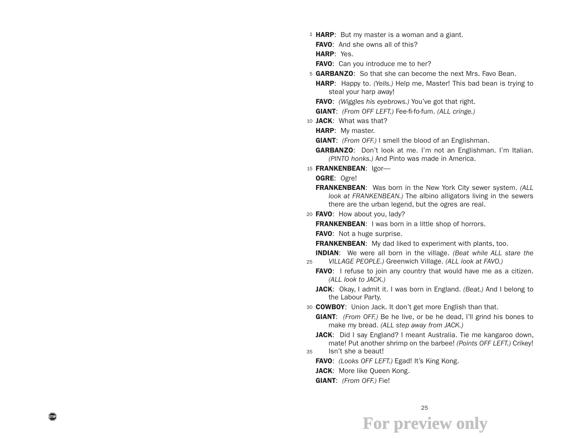1 HARP: But my master is a woman and a giant.

FAVO: And she owns all of this?

HARP: Yes.

FAVO: Can you introduce me to her?

5 GARBANZO: So that she can become the next Mrs. Favo Bean.

HARP: Happy to. *(Yells.)* Help me, Master! This bad bean is trying to steal your harp away!

FAVO: *(Wiggles his eyebrows.)* You've got that right.

GIANT: *(From OFF LEFT.)* Fee-fi-fo-fum. *(ALL cringe.)*

10 JACK: What was that?

HARP: My master.

GIANT: *(From OFF.)* I smell the blood of an Englishman.

- GARBANZO: Don't look at me. I'm not an Englishman. I'm Italian. *(PINTO honks.)* And Pinto was made in America.
- 15 FRANKENBEAN: Igor-

OGRE: Ogre!

FRANKENBEAN: Was born in the New York City sewer system. *(ALL look at FRANKENBEAN.)* The albino alligators living in the sewers there are the urban legend, but the ogres are real.

20 FAVO: How about you, lady?

**FRANKENBEAN:** I was born in a little shop of horrors.

**FAVO:** Not a huge surprise.

**FRANKENBEAN:** My dad liked to experiment with plants, too.

25 INDIAN: We were all born in the village. *(Beat while ALL stare the VILLAGE PEOPLE.)* Greenwich Village. *(ALL look at FAVO.)*

- **FAVO:** I refuse to join any country that would have me as a citizen. *(ALL look to JACK.)*
- JACK: Okay, I admit it. I was born in England. *(Beat.)* And I belong to the Labour Party.

30 COWBOY: Union Jack. It don't get more English than that.

- GIANT: *(From OFF.)* Be he live, or be he dead, I'll grind his bones to make my bread. *(ALL step away from JACK.)*
- JACK: Did I say England? I meant Australia. Tie me kangaroo down, mate! Put another shrimp on the barbee! *(Points OFF LEFT.)* Crikey!

35 Isn't she a beaut!

FAVO: *(Looks OFF LEFT.)* Egad! It's King Kong.

JACK: More like Queen Kong.

GIANT: *(From OFF.)* Fie!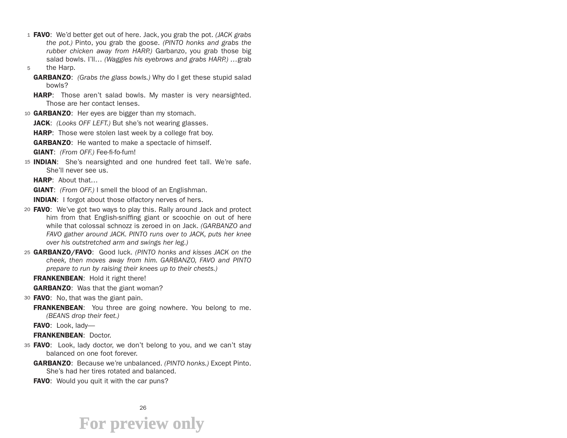- 1 FAVO: We'd better get out of here. Jack, you grab the pot. *(JACK grabs the pot.)* Pinto, you grab the goose. *(PINTO honks and grabs the rubber chicken away from HARP.)* Garbanzo, you grab those big salad bowls. I'll… *(Waggles his eyebrows and grabs HARP.) …*grab
- 5 the Harp.
	- GARBANZO: *(Grabs the glass bowls.)* Why do I get these stupid salad bowls?
	- HARP: Those aren't salad bowls. My master is very nearsighted. Those are her contact lenses.

10 **GARBANZO:** Her eyes are bigger than my stomach. JACK: *(Looks OFF LEFT.)* But she's not wearing glasses. **HARP:** Those were stolen last week by a college frat boy. **GARBANZO:** He wanted to make a spectacle of himself. GIANT: *(From OFF.)* Fee-fi-fo-fum!

- 15 **INDIAN**: She's nearsighted and one hundred feet tall. We're safe. She'll never see us.
	- HARP: About that…

GIANT: *(From OFF.)* I smell the blood of an Englishman.

INDIAN: I forgot about those olfactory nerves of hers.

- 20 **FAVO**: We've got two ways to play this. Rally around Jack and protect him from that English-sniffing giant or scoochie on out of here while that colossal schnozz is zeroed in on Jack. *(GARBANZO and FAVO gather around JACK. PINTO runs over to JACK, puts her knee over his outstretched arm and swings her leg.)*
- 25 GARBANZO/FAVO: Good luck. *(PINTO honks and kisses JACK on the cheek, then moves away from him. GARBANZO, FAVO and PINTO prepare to run by raising their knees up to their chests.)*

FRANKENBEAN: Hold it right there!

**GARBANZO:** Was that the giant woman?

- 30 **FAVO**: No, that was the giant pain.
	- **FRANKENBEAN:** You three are going nowhere. You belong to me. *(BEANS drop their feet.)*

FAVO: Look, lady-

#### FRANKENBEAN: Doctor.

- 35 FAVO: Look, lady doctor, we don't belong to you, and we can't stay balanced on one foot forever.
	- GARBANZO: Because we're unbalanced. *(PINTO honks.)* Except Pinto. She's had her tires rotated and balanced.
	- **FAVO:** Would you quit it with the car puns?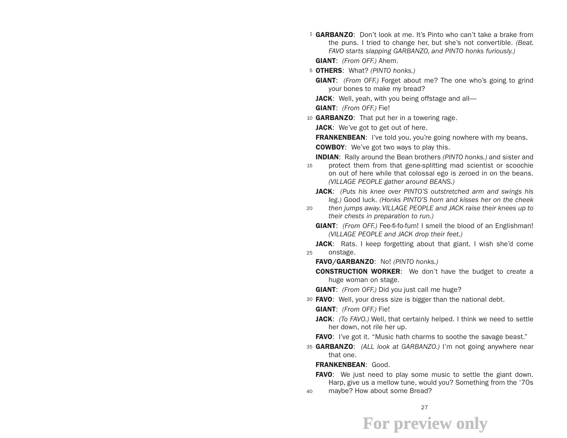<sup>1</sup> GARBANZO: Don't look at me. It's Pinto who can't take a brake from the puns. I tried to change her, but she's not convertible. *(Beat. FAVO starts slapping GARBANZO, and PINTO honks furiously.)*

GIANT: *(From OFF.)* Ahem.

5 OTHERS: What? *(PINTO honks.)*

GIANT: *(From OFF.)* Forget about me? The one who's going to grind your bones to make my bread?

**JACK:** Well, yeah, with you being offstage and all—

GIANT: *(From OFF.)* Fie!

10 GARBANZO: That put her in a towering rage.

JACK: We've got to get out of here.

**FRANKENBEAN:** I've told you, you're going nowhere with my beans.

**COWBOY:** We've got two ways to play this.

INDIAN: Rally around the Bean brothers *(PINTO honks.)* and sister and

- 15 protect them from that gene-splitting mad scientist or scoochie on out of here while that colossal ego is zeroed in on the beans. *(VILLAGE PEOPLE gather around BEANS.)*
	- JACK: *(Puts his knee over PINTO'S outstretched arm and swings his leg.)* Good luck. *(Honks PINTO'S horn and kisses her on the cheek*
- 20 *then jumps away. VILLAGE PEOPLE and JACK raise their knees up to their chests in preparation to run.)*
	- GIANT: *(From OFF.)* Fee-fi-fo-fum! I smell the blood of an Englishman! *(VILLAGE PEOPLE and JACK drop their feet.)*

25 **JACK:** Rats. I keep forgetting about that giant. I wish she'd come onstage.

FAVO/GARBANZO: No! *(PINTO honks.)*

**CONSTRUCTION WORKER:** We don't have the budget to create a huge woman on stage.

GIANT: *(From OFF.)* Did you just call me huge?

30 FAVO: Well, your dress size is bigger than the national debt.

GIANT: *(From OFF.)* Fie!

JACK: *(To FAVO.)* Well, that certainly helped. I think we need to settle her down, not rile her up.

**FAVO:** I've got it. "Music hath charms to soothe the savage beast."

35 GARBANZO: *(ALL look at GARBANZO.)* I'm not going anywhere near that one.

#### FRANKENBEAN: Good.

- **FAVO:** We just need to play some music to settle the giant down. Harp, give us a mellow tune, would you? Something from the '70s
- 40 maybe? How about some Bread?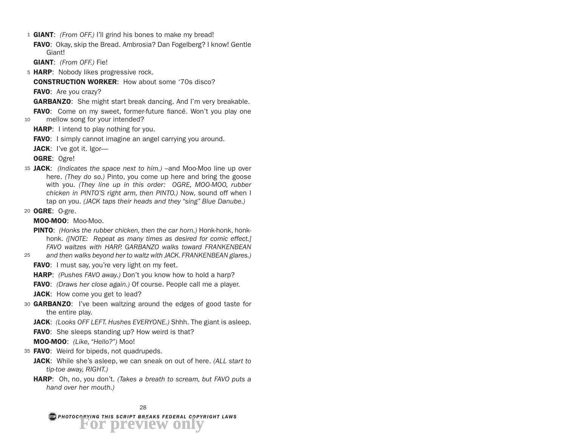- 1 GIANT: *(From OFF.)* I'll grind his bones to make my bread!
- FAVO: Okay, skip the Bread. Ambrosia? Dan Fogelberg? I know! Gentle Giant!

GIANT: *(From OFF.)* Fie!

5 HARP: Nobody likes progressive rock.

CONSTRUCTION WORKER: How about some '70s disco?

**FAVO:** Are you crazy?

GARBANZO: She might start break dancing. And I'm very breakable.

10 FAVO: Come on my sweet, former-future fiancé. Won't you play one mellow song for your intended?

- **HARP:** I intend to play nothing for you.
- **FAVO:** I simply cannot imagine an angel carrying you around.
- JACK: I've got it. Igor-

OGRE: Ogre!

- 15 JACK: *(Indicates the space next to him.)* –and Moo-Moo line up over here. *(They do so.)* Pinto, you come up here and bring the goose with you. *(They line up in this order: OGRE, MOO-MOO, rubber chicken in PINTO'S right arm, then PINTO.)* Now, sound off when I tap on you. *(JACK taps their heads and they "sing" Blue Danube.)*
- 20 OGRE: O-gre.

MOO-MOO: Moo-Moo.

- **PINTO:** (Honks the rubber chicken, then the car horn.) Honk-honk, honkhonk. *([NOTE: Repeat as many times as desired for comic effect.] FAVO waltzes with HARP. GARBANZO walks toward FRANKENBEAN*
- 25 *and then walks beyond her to waltz with JACK. FRANKENBEAN glares.)*
	- **FAVO:** I must say, you're very light on my feet.
	- HARP: *(Pushes FAVO away.)* Don't you know how to hold a harp?
	- FAVO: *(Draws her close again.)* Of course. People call me a player.
	- **JACK:** How come you get to lead?
- 30 GARBANZO: I've been waltzing around the edges of good taste for the entire play.
	- JACK: *(Looks OFF LEFT. Hushes EVERYONE.)* Shhh. The giant is asleep.
	- **FAVO:** She sleeps standing up? How weird is that?

MOO-MOO: *(Like, "Hello?")* Moo!

- 35 **FAVO**: Weird for bipeds, not quadrupeds.
	- JACK: While she's asleep, we can sneak on out of here. *(ALL start to tip-toe away, RIGHT.)*
	- HARP: Oh, no, you don't. *(Takes a breath to scream, but FAVO puts a hand over her mouth.)*

*PHOTOCOPYING THIS SCRIPT BREAKS FEDERAL COPYRIGHT LAWS* **For preview only**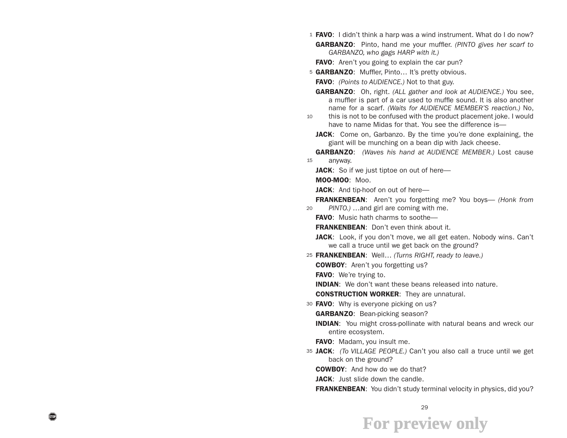- 1 **FAVO:** I didn't think a harp was a wind instrument. What do I do now? GARBANZO: Pinto, hand me your muffler. *(PINTO gives her scarf to GARBANZO, who gags HARP with it.)*
	- **FAVO:** Aren't you going to explain the car pun?
- 5 GARBANZO: Muffler, Pinto... It's pretty obvious.

FAVO: *(Points to AUDIENCE.)* Not to that guy.

- GARBANZO: Oh, right. *(ALL gather and look at AUDIENCE.)* You see, a muffler is part of a car used to muffle sound. It is also another name for a scarf. *(Waits for AUDIENCE MEMBER'S reaction.)* No,
- 10 this is not to be confused with the product placement joke. I would have to name Midas for that. You see the difference is—
	- JACK: Come on, Garbanzo. By the time you're done explaining, the giant will be munching on a bean dip with Jack cheese.

15 GARBANZO: *(Waves his hand at AUDIENCE MEMBER.)* Lost cause anyway.

**JACK:** So if we just tiptoe on out of here—

MOO-MOO: Moo.

JACK: And tip-hoof on out of here-

20 FRANKENBEAN: Aren't you forgetting me? You boys— *(Honk from PINTO.)* …and girl are coming with me.

FAVO: Music hath charms to soothe-

**FRANKENBEAN:** Don't even think about it.

JACK: Look, if you don't move, we all get eaten. Nobody wins. Can't we call a truce until we get back on the ground?

25 FRANKENBEAN: Well… *(Turns RIGHT, ready to leave.)*

**COWBOY:** Aren't you forgetting us?

FAVO: We're trying to.

**INDIAN:** We don't want these beans released into nature.

CONSTRUCTION WORKER: They are unnatural.

30 FAVO: Why is everyone picking on us?

GARBANZO: Bean-picking season?

**INDIAN:** You might cross-pollinate with natural beans and wreck our entire ecosystem.

FAVO: Madam, you insult me.

35 JACK: *(To VILLAGE PEOPLE.)* Can't you also call a truce until we get back on the ground?

COWBOY: And how do we do that?

JACK: Just slide down the candle.

FRANKENBEAN: You didn't study terminal velocity in physics, did you?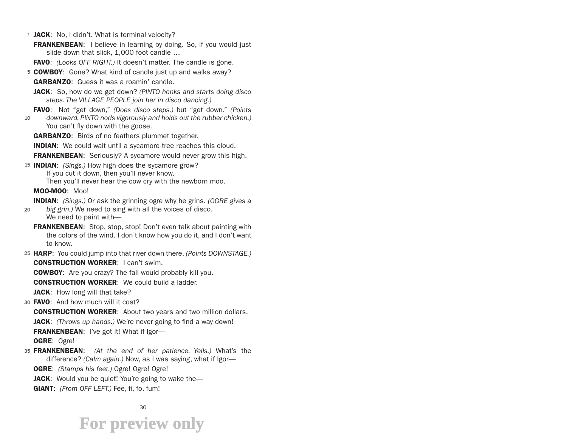1 JACK: No, I didn't. What is terminal velocity?

**FRANKENBEAN:** I believe in learning by doing. So, if you would just slide down that slick, 1,000 foot candle …

FAVO: *(Looks OFF RIGHT.)* It doesn't matter. The candle is gone.

5 COWBOY: Gone? What kind of candle just up and walks away?

GARBANZO: Guess it was a roamin' candle.

JACK: So, how do we get down? *(PINTO honks and starts doing disco steps. The VILLAGE PEOPLE join her in disco dancing.)*

FAVO: Not "get down," *(Does disco steps.)* but "get down." *(Points* 

10 *downward. PINTO nods vigorously and holds out the rubber chicken.)* You can't fly down with the goose.

**GARBANZO:** Birds of no feathers plummet together.

**INDIAN:** We could wait until a sycamore tree reaches this cloud.

**FRANKENBEAN:** Seriously? A sycamore would never grow this high.

15 INDIAN: *(Sings.)* How high does the sycamore grow? If you cut it down, then you'll never know.

Then you'll never hear the cow cry with the newborn moo.

MOO-MOO: Moo!

INDIAN: *(Sings.)* Or ask the grinning ogre why he grins. *(OGRE gives a* 

- $20$ *big grin.)* We need to sing with all the voices of disco. We need to paint with—
	- FRANKENBEAN: Stop, stop, stop! Don't even talk about painting with the colors of the wind. I don't know how you do it, and I don't want to know.
- 25 HARP: You could jump into that river down there. *(Points DOWNSTAGE.)* CONSTRUCTION WORKER: I can't swim.

COWBOY: Are you crazy? The fall would probably kill you.

CONSTRUCTION WORKER: We could build a ladder.

JACK: How long will that take?

30 FAVO: And how much will it cost?

CONSTRUCTION WORKER: About two years and two million dollars.

JACK: *(Throws up hands.)* We're never going to find a way down!

FRANKENBEAN: I've got it! What if Igor-

OGRE: Ogre!

35 FRANKENBEAN: (At the end of her patience. Yells.) What's the difference? *(Calm again.)* Now, as I was saying, what if Igor—

OGRE: *(Stamps his feet.)* Ogre! Ogre! Ogre!

- **JACK:** Would you be quiet! You're going to wake the—
- GIANT: *(From OFF LEFT.)* Fee, fi, fo, fum!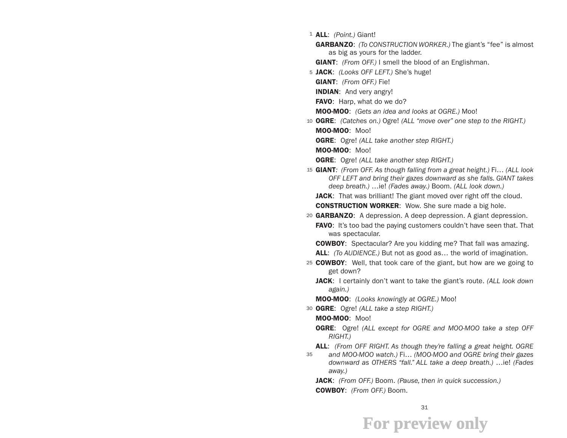- 1 ALL: *(Point.)* Giant!
	- GARBANZO: *(To CONSTRUCTION WORKER.)* The giant's "fee" is almost as big as yours for the ladder.
	- GIANT: *(From OFF.)* I smell the blood of an Englishman.
- 5 JACK: *(Looks OFF LEFT.)* She's huge!

GIANT: *(From OFF.)* Fie!

**INDIAN:** And very angry!

FAVO: Harp, what do we do?

MOO-MOO: *(Gets an idea and looks at OGRE.)* Moo!

- 10 OGRE: *(Catches on.)* Ogre! *(ALL "move over" one step to the RIGHT.)* MOO-MOO: Moo!
	- OGRE: Ogre! *(ALL take another step RIGHT.)*

MOO-MOO: Moo!

- OGRE: Ogre! *(ALL take another step RIGHT.)*
- 15 GIANT*: (From OFF. As though falling from a great height.)* Fi… *(ALL look OFF LEFT and bring their gazes downward as she falls. GIANT takes deep breath.)* …ie! *(Fades away.)* Boom. *(ALL look down.)*

**JACK:** That was brilliant! The giant moved over right off the cloud. **CONSTRUCTION WORKER:** Wow. She sure made a big hole.

20 GARBANZO: A depression. A deep depression. A giant depression. **FAVO:** It's too bad the paying customers couldn't have seen that. That was spectacular.

COWBOY: Spectacular? Are you kidding me? That fall was amazing.

ALL: *(To AUDIENCE.)* But not as good as… the world of imagination.

- 25 COWBOY: Well, that took care of the giant, but how are we going to get down?
	- JACK: I certainly don't want to take the giant's route. *(ALL look down again.)*

MOO-MOO: *(Looks knowingly at OGRE.)* Moo!

30 OGRE: Ogre! *(ALL take a step RIGHT.)*

MOO-MOO: Moo!

- OGRE: Ogre! *(ALL except for OGRE and MOO-MOO take a step OFF RIGHT.)*
- 35 ALL: *(From OFF RIGHT. As though they're falling a great height. OGRE and MOO-MOO watch.)* Fi… *(MOO-MOO and OGRE bring their gazes downward as OTHERS "fall." ALL take a deep breath.)* …ie! *(Fades away.)*
	- JACK: *(From OFF.)* Boom. *(Pause, then in quick succession.)* COWBOY: *(From OFF.)* Boom.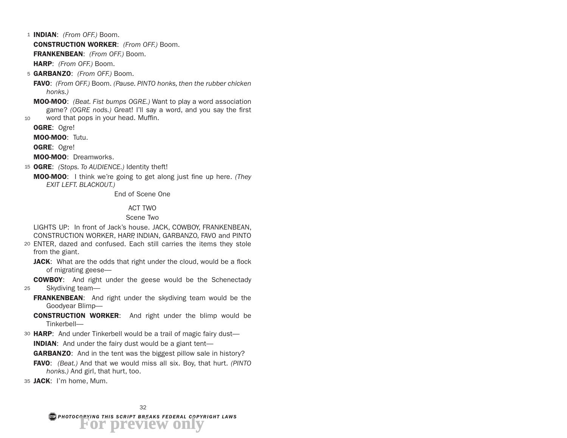- 1 INDIAN: *(From OFF.)* Boom. CONSTRUCTION WORKER: *(From OFF.)* Boom. FRANKENBEAN: *(From OFF.)* Boom. HARP: *(From OFF.)* Boom.
- 5 GARBANZO: *(From OFF.)* Boom.

FAVO: *(From OFF.)* Boom. *(Pause. PINTO honks, then the rubber chicken honks.)*

MOO-MOO: *(Beat. Fist bumps OGRE.)* Want to play a word association game? *(OGRE nods.)* Great! I'll say a word, and you say the first

 $10$ word that pops in your head. Muffin.

OGRE: Ogre!

MOO-MOO: Tutu.

OGRE: Ogre!

MOO-MOO: Dreamworks.

- 15 OGRE: *(Stops. To AUDIENCE.)* Identity theft!
	- MOO-MOO: I think we're going to get along just fine up here. *(They EXIT LEFT. BLACKOUT.)*

End of Scene One

#### ACT TWO

#### Scene Two

LIGHTS UP: In front of Jack's house. JACK, COWBOY, FRANKENBEAN, CONSTRUCTION WORKER, HARP, INDIAN, GARBANZO, FAVO and PINTO

- 20 ENTER, dazed and confused. Each still carries the items they stole from the giant.
	- JACK: What are the odds that right under the cloud, would be a flock of migrating geese—

COWBOY: And right under the geese would be the Schenectady

- 25 Skydiving team—
	- **FRANKENBEAN:** And right under the skydiving team would be the Goodyear Blimp—

**CONSTRUCTION WORKER:** And right under the blimp would be Tinkerbell—

30 HARP: And under Tinkerbell would be a trail of magic fairy dust-

**INDIAN:** And under the fairy dust would be a giant tent—

**GARBANZO:** And in the tent was the biggest pillow sale in history?

FAVO: *(Beat.)* And that we would miss all six. Boy, that hurt. *(PINTO honks.)* And girl, that hurt, too.

35 JACK: I'm home, Mum.

*PHOTOCOPYING THIS SCRIPT BREAKS FEDERAL COPYRIGHT LAWS* **For preview only**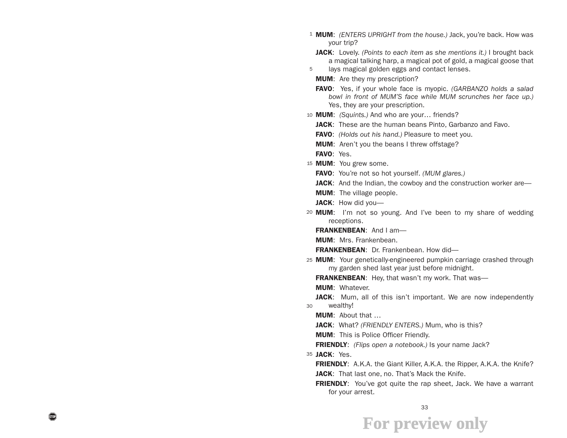- 1 MUM: *(ENTERS UPRIGHT from the house.)* Jack, you're back. How was your trip?
	- JACK: Lovely. *(Points to each item as she mentions it.)* I brought back a magical talking harp, a magical pot of gold, a magical goose that
	- lays magical golden eggs and contact lenses.
	- **MUM:** Are they my prescription?
	- FAVO: Yes, if your whole face is myopic. *(GARBANZO holds a salad bowl in front of MUM'S face while MUM scrunches her face up.)*  Yes, they are your prescription.
- 10 MUM: *(Squints.)* And who are your… friends?
	- JACK: These are the human beans Pinto, Garbanzo and Favo.
	- FAVO: *(Holds out his hand.)* Pleasure to meet you.
	- **MUM:** Aren't you the beans I threw offstage?
	- FAVO: Yes.

5

- 15 MUM: You grew some.
	- FAVO: You're not so hot yourself. *(MUM glares.)*
	- JACK: And the Indian, the cowboy and the construction worker are—
	- **MUM:** The village people.
	- **JACK:** How did you—
- 20 **MUM:** I'm not so young. And I've been to my share of wedding receptions.
	- FRANKENBEAN: And I am-

**MUM: Mrs. Frankenbean.** 

FRANKENBEAN: Dr. Frankenbean. How did-

25 MUM: Your genetically-engineered pumpkin carriage crashed through my garden shed last year just before midnight.

FRANKENBEAN: Hey, that wasn't my work. That was-

**MUM: Whatever.** 

30 **JACK:** Mum, all of this isn't important. We are now independently wealthy!

**MUM: About that ...** 

JACK: What? *(FRIENDLY ENTERS.)* Mum, who is this?

**MUM:** This is Police Officer Friendly.

FRIENDLY: *(Flips open a notebook.)* Is your name Jack?

35 **JACK**: Yes.

- **FRIENDLY:** A.K.A. the Giant Killer, A.K.A. the Ripper, A.K.A. the Knife? JACK: That last one, no. That's Mack the Knife.
- **FRIENDLY:** You've got quite the rap sheet, Jack. We have a warrant for your arrest.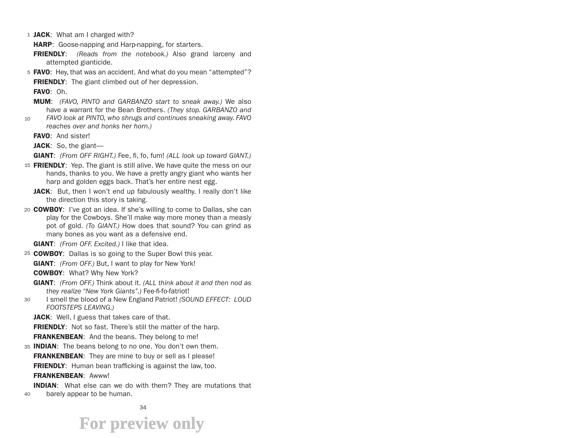1 JACK: What am I charged with?

**HARP:** Goose-napping and Harp-napping, for starters.

FRIENDLY: *(Reads from the notebook.)* Also grand larceny and attempted gianticide.

5 **FAVO**: Hey, that was an accident. And what do you mean "attempted"? **FRIENDLY:** The giant climbed out of her depression.

FAVO: Oh.

- MUM: *(FAVO, PINTO and GARBANZO start to sneak away.)* We also have a warrant for the Bean Brothers. *(They stop. GARBANZO and*
- 10 *FAVO look at PINTO, who shrugs and continues sneaking away. FAVO reaches over and honks her horn.)*
	- FAVO: And sister!

**JACK:** So, the giant—

GIANT: *(From OFF RIGHT.)* Fee, fi, fo, fum! *(ALL look up toward GIANT.)*

- 15 FRIENDLY: Yep. The giant is still alive. We have quite the mess on our hands, thanks to you. We have a pretty angry giant who wants her harp and golden eggs back. That's her entire nest egg.
	- JACK: But, then I won't end up fabulously wealthy. I really don't like the direction this story is taking.
- 20 COWBOY: I've got an idea. If she's willing to come to Dallas, she can play for the Cowboys. She'll make way more money than a measly pot of gold. *(To GIANT.)* How does that sound? You can grind as many bones as you want as a defensive end.

GIANT: *(From OFF. Excited.)* I like that idea.

25 COWBOY: Dallas is so going to the Super Bowl this year.

GIANT: *(From OFF.)* But, I want to play for New York!

COWBOY: What? Why New York?

- GIANT: *(From OFF.)* Think about it. *(ALL think about it and then nod as they realize "New York Giants".)* Fee-fi-fo-fatriot!
- 30 I smell the blood of a New England Patriot! *(SOUND EFFECT: LOUD FOOTSTEPS LEAVING.)*

JACK: Well, I guess that takes care of that.

**FRIENDLY:** Not so fast. There's still the matter of the harp.

**FRANKENBEAN:** And the beans. They belong to me!

35 INDIAN: The beans belong to no one. You don't own them.

**FRANKENBEAN:** They are mine to buy or sell as I please!

**FRIENDLY:** Human bean trafficking is against the law, too.

FRANKENBEAN: Awww!

40 **INDIAN:** What else can we do with them? They are mutations that barely appear to be human.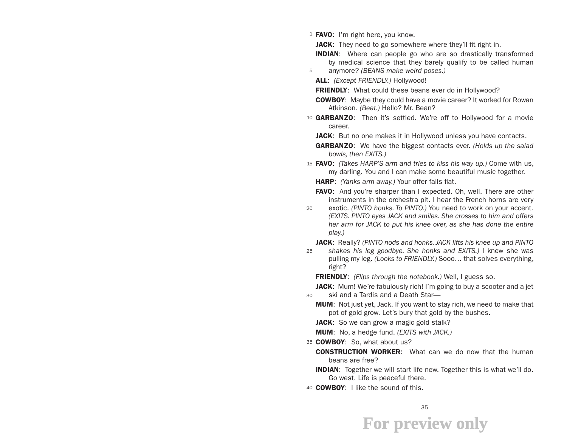<sup>1</sup> **FAVO**: I'm right here, you know.

5

JACK: They need to go somewhere where they'll fit right in.

**INDIAN:** Where can people go who are so drastically transformed by medical science that they barely qualify to be called human

anymore? *(BEANS make weird poses.)*

ALL: *(Except FRIENDLY.)* Hollywood!

**FRIENDLY:** What could these beans ever do in Hollywood?

COWBOY: Maybe they could have a movie career? It worked for Rowan Atkinson. *(Beat.)* Hello? Mr. Bean?

- 10 **GARBANZO**: Then it's settled. We're off to Hollywood for a movie career.
	- JACK: But no one makes it in Hollywood unless you have contacts.

GARBANZO: We have the biggest contacts ever. *(Holds up the salad bowls, then EXITS.)*

- 15 FAVO: *(Takes HARP'S arm and tries to kiss his way up.)* Come with us, my darling. You and I can make some beautiful music together.
	- HARP: *(Yanks arm away.)* Your offer falls flat.
	- **FAVO:** And you're sharper than I expected. Oh, well. There are other instruments in the orchestra pit. I hear the French horns are very
- 20 exotic. *(PINTO honks. To PINTO.)* You need to work on your accent. *(EXITS. PINTO eyes JACK and smiles. She crosses to him and offers her arm for JACK to put his knee over, as she has done the entire play.)*

JACK: Really? *(PINTO nods and honks. JACK lifts his knee up and PINTO* 

25 *shakes his leg goodbye. She honks and EXITS.)* I knew she was pulling my leg. *(Looks to FRIENDLY.)* Sooo… that solves everything, right?

FRIENDLY: *(Flips through the notebook.)* Well, I guess so.

30 JACK: Mum! We're fabulously rich! I'm going to buy a scooter and a jet ski and a Tardis and a Death Star—

- **MUM:** Not just yet, Jack. If you want to stay rich, we need to make that pot of gold grow. Let's bury that gold by the bushes.
	- **JACK:** So we can grow a magic gold stalk?

MUM: No, a hedge fund. *(EXITS with JACK.)*

35 COWBOY: So, what about us?

- **CONSTRUCTION WORKER:** What can we do now that the human beans are free?
- **INDIAN:** Together we will start life new. Together this is what we'll do. Go west. Life is peaceful there.
- 40 **COWBOY**: I like the sound of this.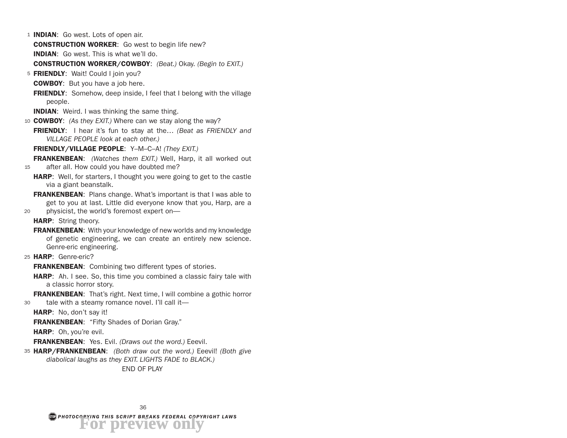1 **INDIAN**: Go west. Lots of open air.

CONSTRUCTION WORKER: Go west to begin life new?

INDIAN: Go west. This is what we'll do.

CONSTRUCTION WORKER/COWBOY: *(Beat.)* Okay. *(Begin to EXIT.)*

5 FRIENDLY: Wait! Could I join you?

**COWBOY:** But you have a job here.

**FRIENDLY:** Somehow, deep inside, I feel that I belong with the village people.

**INDIAN:** Weird. I was thinking the same thing.

10 COWBOY: *(As they EXIT.)* Where can we stay along the way?

FRIENDLY: I hear it's fun to stay at the… *(Beat as FRIENDLY and VILLAGE PEOPLE look at each other.)*

FRIENDLY/VILLAGE PEOPLE: Y–M–C–A! *(They EXIT.)*

15 FRANKENBEAN: *(Watches them EXIT.)* Well, Harp, it all worked out after all. How could you have doubted me?

- **HARP:** Well, for starters, I thought you were going to get to the castle via a giant beanstalk.
- 20 **FRANKENBEAN:** Plans change. What's important is that I was able to get to you at last. Little did everyone know that you, Harp, are a physicist, the world's foremost expert on—

HARP: String theory.

**FRANKENBEAN:** With your knowledge of new worlds and my knowledge of genetic engineering, we can create an entirely new science. Genre-eric engineering.

25 HARP: Genre-eric?

**FRANKENBEAN:** Combining two different types of stories.

**HARP:** Ah. I see. So, this time you combined a classic fairy tale with a classic horror story.

30 **FRANKENBEAN:** That's right. Next time, I will combine a gothic horror tale with a steamy romance novel. I'll call it—

**HARP:** No, don't say it!

FRANKENBEAN: "Fifty Shades of Dorian Gray."

HARP: Oh, you're evil.

FRANKENBEAN: Yes. Evil. *(Draws out the word.)* Eeevil.

35 HARP/FRANKENBEAN: *(Both draw out the word.)* Eeevil! *(Both give diabolical laughs as they EXIT. LIGHTS FADE to BLACK.)*

END OF PLAY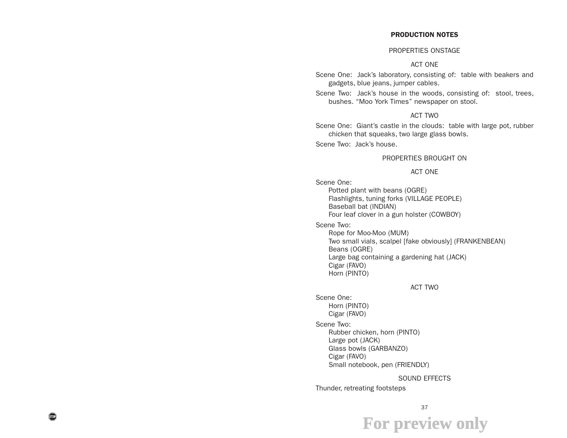#### PRODUCTION NOTES

#### PROPERTIES ONSTAGE

#### ACT ONE

Scene One: Jack's laboratory, consisting of: table with beakers and gadgets, blue jeans, jumper cables.

Scene Two: Jack's house in the woods, consisting of: stool, trees, bushes. "Moo York Times" newspaper on stool.

#### ACT TWO

Scene One: Giant's castle in the clouds: table with large pot, rubber chicken that squeaks, two large glass bowls.

Scene Two: Jack's house.

#### PROPERTIES BROUGHT ON

#### ACT ONE

Scene One:

Potted plant with beans (OGRE) Flashlights, tuning forks (VILLAGE PEOPLE) Baseball bat (INDIAN) Four leaf clover in a gun holster (COWBOY)

Scene Two:

Rope for Moo-Moo (MUM) Two small vials, scalpel [fake obviously] (FRANKENBEAN) Beans (OGRE) Large bag containing a gardening hat (JACK) Cigar (FAVO) Horn (PINTO)

#### ACT TWO

Scene One: Horn (PINTO) Cigar (FAVO)

Scene Two:

Rubber chicken, horn (PINTO) Large pot (JACK) Glass bowls (GARBANZO) Cigar (FAVO) Small notebook, pen (FRIENDLY)

#### SOUND EFFECTS

Thunder, retreating footsteps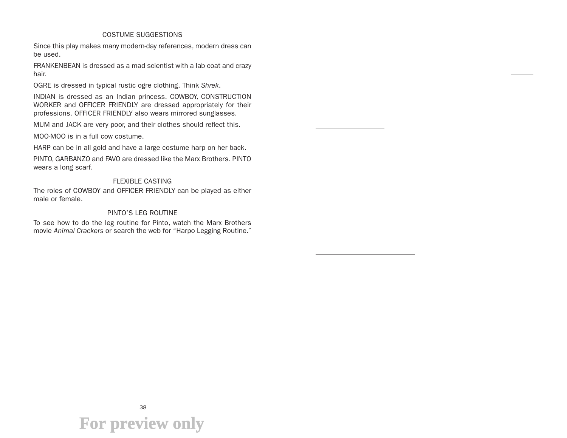#### COSTUME SUGGESTIONS

Since this play makes many modern-day references, modern dress can be used.

FRANKENBEAN is dressed as a mad scientist with a lab coat and crazy hair.

OGRE is dressed in typical rustic ogre clothing. Think *Shrek*.

INDIAN is dressed as an Indian princess. COWBOY, CONSTRUCTION WORKER and OFFICER FRIENDLY are dressed appropriately for their professions. OFFICER FRIENDLY also wears mirrored sunglasses.

MUM and JACK are very poor, and their clothes should reflect this.

MOO-MOO is in a full cow costume.

HARP can be in all gold and have a large costume harp on her back.

PINTO, GARBANZO and FAVO are dressed like the Marx Brothers. PINTO wears a long scarf.

#### FLEXIBLE CASTING

The roles of COWBOY and OFFICER FRIENDLY can be played as either male or female.

#### PINTO'S LEG ROUTINE

To see how to do the leg routine for Pinto, watch the Marx Brothers movie *Animal Crackers* or search the web for "Harpo Legging Routine."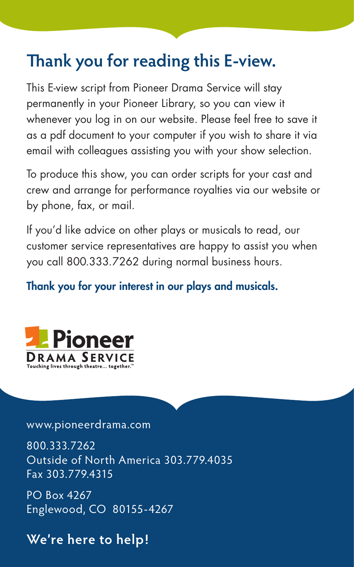### **Thank you for reading this E-view.**

This E-view script from Pioneer Drama Service will stay permanently in your Pioneer Library, so you can view it whenever you log in on our website. Please feel free to save it as a pdf document to your computer if you wish to share it via email with colleagues assisting you with your show selection.

To produce this show, you can order scripts for your cast and crew and arrange for performance royalties via our website or by phone, fax, or mail.

If you'd like advice on other plays or musicals to read, our customer service representatives are happy to assist you when you call 800.333.7262 during normal business hours.

### Thank you for your interest in our plays and musicals.



#### www.pioneerdrama.com

800.333.7262 Outside of North America 303.779.4035 Fax 303.779.4315

PO Box 4267 Englewood, CO 80155-4267

### **We're here to help!**